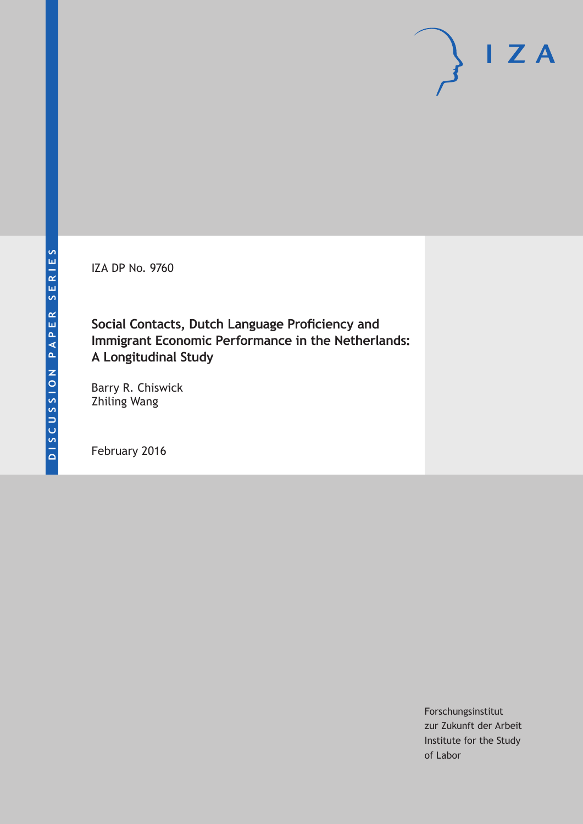IZA DP No. 9760

**Social Contacts, Dutch Language Proficiency and Immigrant Economic Performance in the Netherlands: A Longitudinal Study**

Barry R. Chiswick Zhiling Wang

February 2016

Forschungsinstitut zur Zukunft der Arbeit Institute for the Study of Labor

 $I Z A$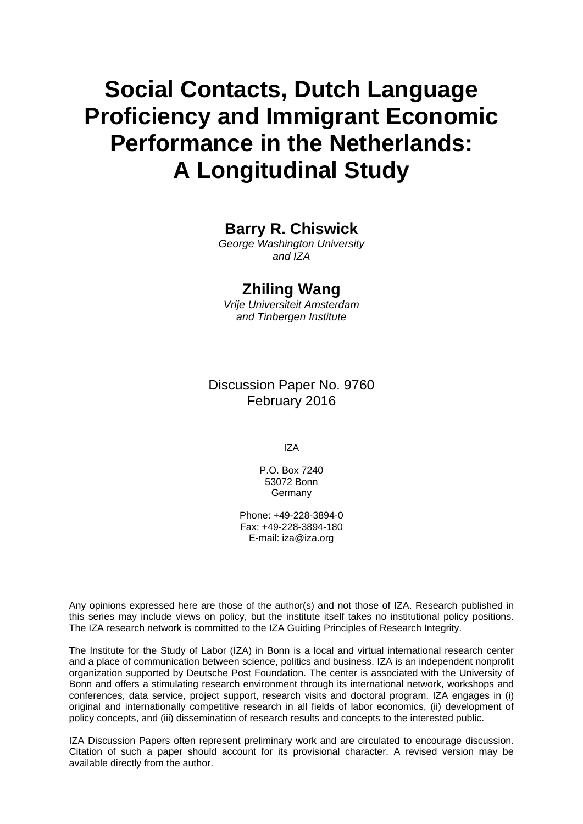# **Social Contacts, Dutch Language Proficiency and Immigrant Economic Performance in the Netherlands: A Longitudinal Study**

# **Barry R. Chiswick**

*George Washington University and IZA* 

# **Zhiling Wang**

*Vrije Universiteit Amsterdam and Tinbergen Institute* 

Discussion Paper No. 9760 February 2016

IZA

P.O. Box 7240 53072 Bonn Germany

Phone: +49-228-3894-0 Fax: +49-228-3894-180 E-mail: iza@iza.org

Any opinions expressed here are those of the author(s) and not those of IZA. Research published in this series may include views on policy, but the institute itself takes no institutional policy positions. The IZA research network is committed to the IZA Guiding Principles of Research Integrity.

The Institute for the Study of Labor (IZA) in Bonn is a local and virtual international research center and a place of communication between science, politics and business. IZA is an independent nonprofit organization supported by Deutsche Post Foundation. The center is associated with the University of Bonn and offers a stimulating research environment through its international network, workshops and conferences, data service, project support, research visits and doctoral program. IZA engages in (i) original and internationally competitive research in all fields of labor economics, (ii) development of policy concepts, and (iii) dissemination of research results and concepts to the interested public.

IZA Discussion Papers often represent preliminary work and are circulated to encourage discussion. Citation of such a paper should account for its provisional character. A revised version may be available directly from the author.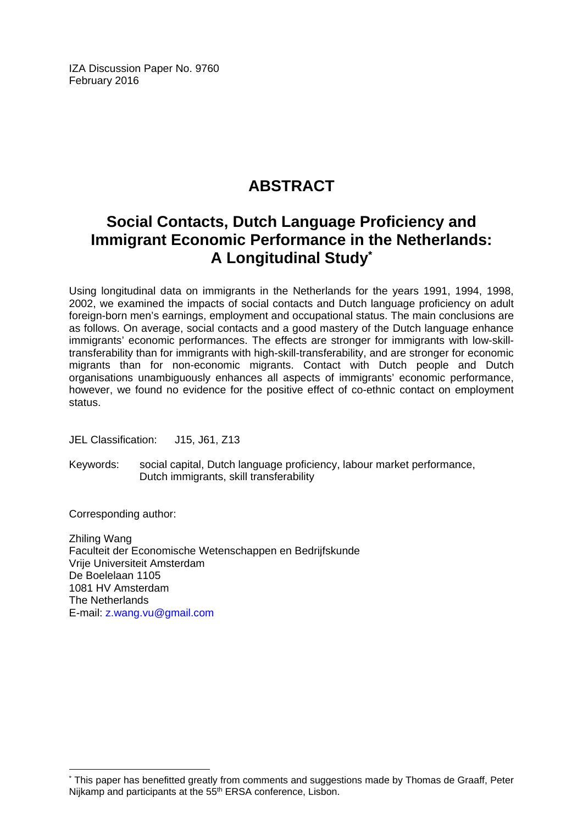IZA Discussion Paper No. 9760 February 2016

# **ABSTRACT**

# **Social Contacts, Dutch Language Proficiency and Immigrant Economic Performance in the Netherlands: A Longitudinal Study\***

Using longitudinal data on immigrants in the Netherlands for the years 1991, 1994, 1998, 2002, we examined the impacts of social contacts and Dutch language proficiency on adult foreign-born men's earnings, employment and occupational status. The main conclusions are as follows. On average, social contacts and a good mastery of the Dutch language enhance immigrants' economic performances. The effects are stronger for immigrants with low-skilltransferability than for immigrants with high-skill-transferability, and are stronger for economic migrants than for non-economic migrants. Contact with Dutch people and Dutch organisations unambiguously enhances all aspects of immigrants' economic performance, however, we found no evidence for the positive effect of co-ethnic contact on employment status.

JEL Classification: J15, J61, Z13

Keywords: social capital, Dutch language proficiency, labour market performance, Dutch immigrants, skill transferability

Corresponding author:

 $\overline{\phantom{a}}$ 

Zhiling Wang Faculteit der Economische Wetenschappen en Bedrijfskunde Vrije Universiteit Amsterdam De Boelelaan 1105 1081 HV Amsterdam The Netherlands E-mail: z.wang.vu@gmail.com

<sup>\*</sup> This paper has benefitted greatly from comments and suggestions made by Thomas de Graaff, Peter Nijkamp and participants at the 55<sup>th</sup> ERSA conference, Lisbon.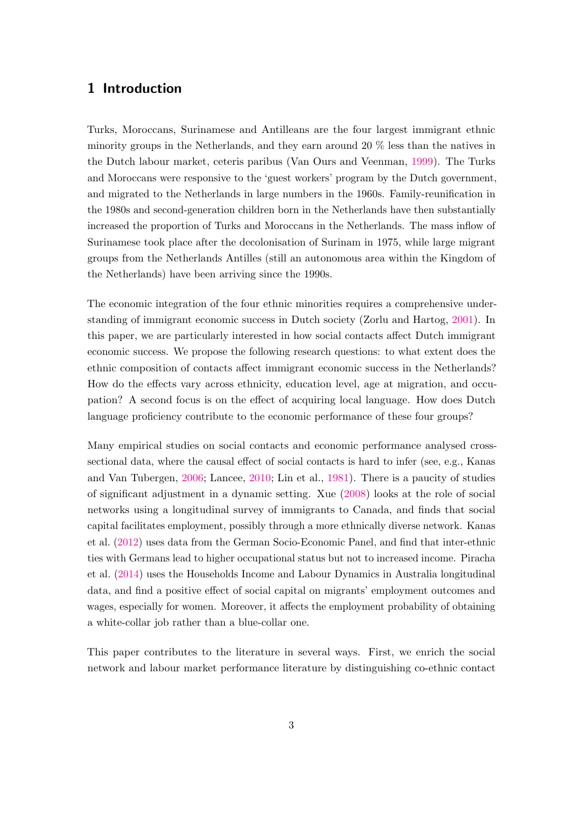# 1 Introduction

Turks, Moroccans, Surinamese and Antilleans are the four largest immigrant ethnic minority groups in the Netherlands, and they earn around 20 % less than the natives in the Dutch labour market, ceteris paribus (Van Ours and Veenman, [1999\)](#page-22-0). The Turks and Moroccans were responsive to the 'guest workers' program by the Dutch government, and migrated to the Netherlands in large numbers in the 1960s. Family-reunification in the 1980s and second-generation children born in the Netherlands have then substantially increased the proportion of Turks and Moroccans in the Netherlands. The mass inflow of Surinamese took place after the decolonisation of Surinam in 1975, while large migrant groups from the Netherlands Antilles (still an autonomous area within the Kingdom of the Netherlands) have been arriving since the 1990s.

The economic integration of the four ethnic minorities requires a comprehensive understanding of immigrant economic success in Dutch society (Zorlu and Hartog, [2001\)](#page-22-1). In this paper, we are particularly interested in how social contacts affect Dutch immigrant economic success. We propose the following research questions: to what extent does the ethnic composition of contacts affect immigrant economic success in the Netherlands? How do the effects vary across ethnicity, education level, age at migration, and occupation? A second focus is on the effect of acquiring local language. How does Dutch language proficiency contribute to the economic performance of these four groups?

Many empirical studies on social contacts and economic performance analysed crosssectional data, where the causal effect of social contacts is hard to infer (see, e.g., Kanas and Van Tubergen, [2006;](#page-21-0) Lancee, [2010;](#page-21-1) Lin et al., [1981\)](#page-21-2). There is a paucity of studies of significant adjustment in a dynamic setting. Xue [\(2008\)](#page-22-2) looks at the role of social networks using a longitudinal survey of immigrants to Canada, and finds that social capital facilitates employment, possibly through a more ethnically diverse network. Kanas et al. [\(2012\)](#page-21-3) uses data from the German Socio-Economic Panel, and find that inter-ethnic ties with Germans lead to higher occupational status but not to increased income. Piracha et al. [\(2014\)](#page-22-3) uses the Households Income and Labour Dynamics in Australia longitudinal data, and find a positive effect of social capital on migrants' employment outcomes and wages, especially for women. Moreover, it affects the employment probability of obtaining a white-collar job rather than a blue-collar one.

This paper contributes to the literature in several ways. First, we enrich the social network and labour market performance literature by distinguishing co-ethnic contact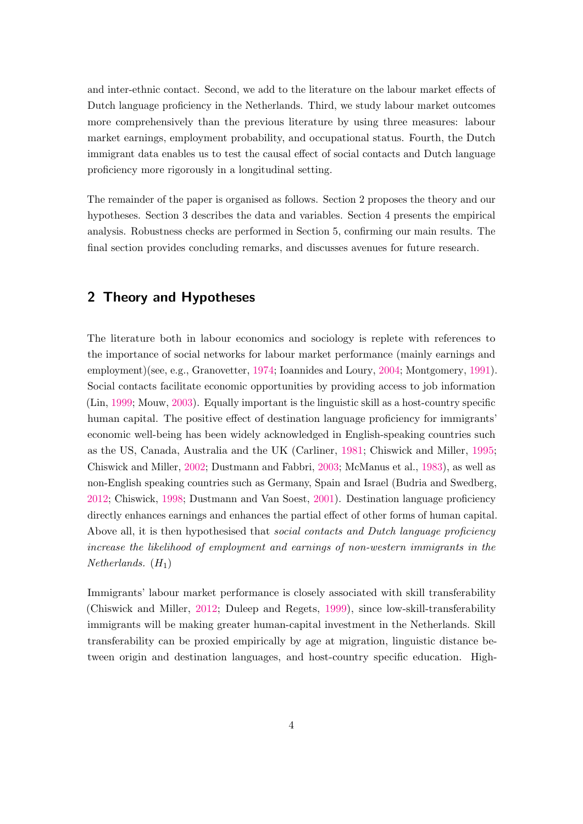and inter-ethnic contact. Second, we add to the literature on the labour market effects of Dutch language proficiency in the Netherlands. Third, we study labour market outcomes more comprehensively than the previous literature by using three measures: labour market earnings, employment probability, and occupational status. Fourth, the Dutch immigrant data enables us to test the causal effect of social contacts and Dutch language proficiency more rigorously in a longitudinal setting.

The remainder of the paper is organised as follows. Section 2 proposes the theory and our hypotheses. Section 3 describes the data and variables. Section 4 presents the empirical analysis. Robustness checks are performed in Section 5, confirming our main results. The final section provides concluding remarks, and discusses avenues for future research.

# 2 Theory and Hypotheses

The literature both in labour economics and sociology is replete with references to the importance of social networks for labour market performance (mainly earnings and employment)(see, e.g., Granovetter, [1974;](#page-21-4) Ioannides and Loury, [2004;](#page-21-5) Montgomery, [1991\)](#page-21-6). Social contacts facilitate economic opportunities by providing access to job information (Lin, [1999;](#page-21-7) Mouw, [2003\)](#page-21-8). Equally important is the linguistic skill as a host-country specific human capital. The positive effect of destination language proficiency for immigrants' economic well-being has been widely acknowledged in English-speaking countries such as the US, Canada, Australia and the UK (Carliner, [1981;](#page-20-0) Chiswick and Miller, [1995;](#page-20-1) Chiswick and Miller, [2002;](#page-20-2) Dustmann and Fabbri, [2003;](#page-20-3) McManus et al., [1983\)](#page-21-9), as well as non-English speaking countries such as Germany, Spain and Israel (Budria and Swedberg, [2012;](#page-20-4) Chiswick, [1998;](#page-20-5) Dustmann and Van Soest, [2001\)](#page-20-6). Destination language proficiency directly enhances earnings and enhances the partial effect of other forms of human capital. Above all, it is then hypothesised that *social contacts and Dutch language proficiency* increase the likelihood of employment and earnings of non-western immigrants in the  $Netherlands.$   $(H_1)$ 

Immigrants' labour market performance is closely associated with skill transferability (Chiswick and Miller, [2012;](#page-20-7) Duleep and Regets, [1999\)](#page-20-8), since low-skill-transferability immigrants will be making greater human-capital investment in the Netherlands. Skill transferability can be proxied empirically by age at migration, linguistic distance between origin and destination languages, and host-country specific education. High-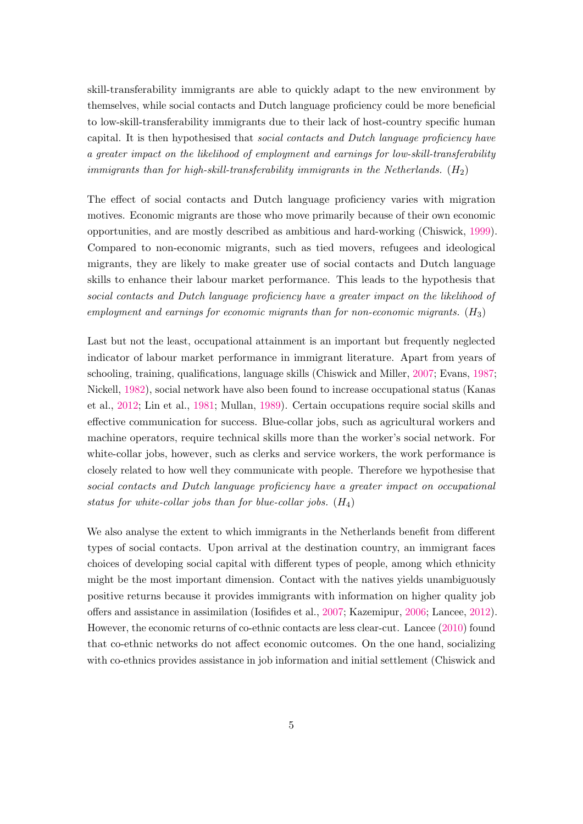skill-transferability immigrants are able to quickly adapt to the new environment by themselves, while social contacts and Dutch language proficiency could be more beneficial to low-skill-transferability immigrants due to their lack of host-country specific human capital. It is then hypothesised that social contacts and Dutch language proficiency have a greater impact on the likelihood of employment and earnings for low-skill-transferability immigrants than for high-skill-transferability immigrants in the Netherlands.  $(H_2)$ 

The effect of social contacts and Dutch language proficiency varies with migration motives. Economic migrants are those who move primarily because of their own economic opportunities, and are mostly described as ambitious and hard-working (Chiswick, [1999\)](#page-20-9). Compared to non-economic migrants, such as tied movers, refugees and ideological migrants, they are likely to make greater use of social contacts and Dutch language skills to enhance their labour market performance. This leads to the hypothesis that social contacts and Dutch language proficiency have a greater impact on the likelihood of employment and earnings for economic migrants than for non-economic migrants. (*H*3)

Last but not the least, occupational attainment is an important but frequently neglected indicator of labour market performance in immigrant literature. Apart from years of schooling, training, qualifications, language skills (Chiswick and Miller, [2007;](#page-20-10) Evans, [1987;](#page-20-11) Nickell, [1982\)](#page-22-4), social network have also been found to increase occupational status (Kanas et al., [2012;](#page-21-3) Lin et al., [1981;](#page-21-2) Mullan, [1989\)](#page-21-10). Certain occupations require social skills and effective communication for success. Blue-collar jobs, such as agricultural workers and machine operators, require technical skills more than the worker's social network. For white-collar jobs, however, such as clerks and service workers, the work performance is closely related to how well they communicate with people. Therefore we hypothesise that social contacts and Dutch language proficiency have a greater impact on occupational status for white-collar jobs than for blue-collar jobs.  $(H_4)$ 

We also analyse the extent to which immigrants in the Netherlands benefit from different types of social contacts. Upon arrival at the destination country, an immigrant faces choices of developing social capital with different types of people, among which ethnicity might be the most important dimension. Contact with the natives yields unambiguously positive returns because it provides immigrants with information on higher quality job offers and assistance in assimilation (Iosifides et al., [2007;](#page-21-11) Kazemipur, [2006;](#page-21-12) Lancee, [2012\)](#page-21-13). However, the economic returns of co-ethnic contacts are less clear-cut. Lancee [\(2010\)](#page-21-1) found that co-ethnic networks do not affect economic outcomes. On the one hand, socializing with co-ethnics provides assistance in job information and initial settlement (Chiswick and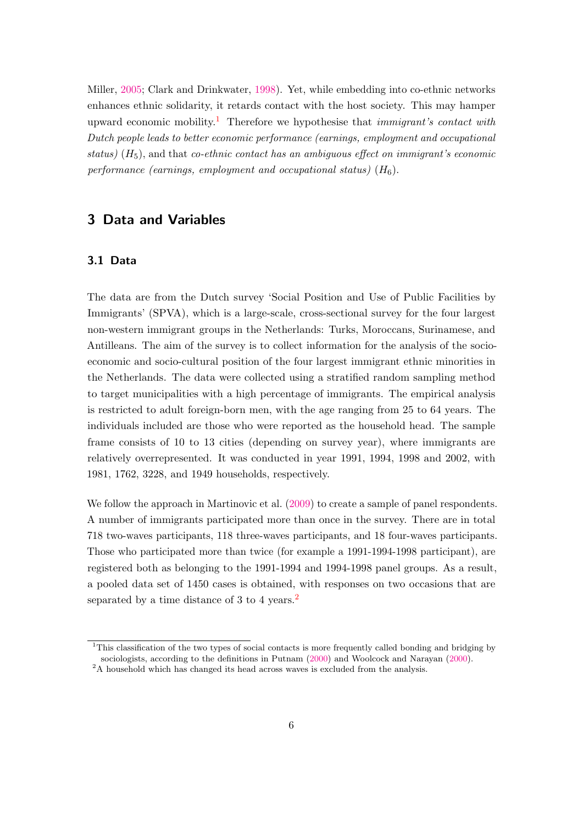Miller, [2005;](#page-20-12) Clark and Drinkwater, [1998\)](#page-20-13). Yet, while embedding into co-ethnic networks enhances ethnic solidarity, it retards contact with the host society. This may hamper upward economic mobility.<sup>[1](#page-6-0)</sup> Therefore we hypothesise that *immigrant's contact with* Dutch people leads to better economic performance (earnings, employment and occupational status)  $(H_5)$ , and that *co-ethnic contact has an ambiguous effect on immigrant's economic* performance (earnings, employment and occupational status)  $(H_6)$ .

# 3 Data and Variables

### 3.1 Data

The data are from the Dutch survey 'Social Position and Use of Public Facilities by Immigrants' (SPVA), which is a large-scale, cross-sectional survey for the four largest non-western immigrant groups in the Netherlands: Turks, Moroccans, Surinamese, and Antilleans. The aim of the survey is to collect information for the analysis of the socioeconomic and socio-cultural position of the four largest immigrant ethnic minorities in the Netherlands. The data were collected using a stratified random sampling method to target municipalities with a high percentage of immigrants. The empirical analysis is restricted to adult foreign-born men, with the age ranging from 25 to 64 years. The individuals included are those who were reported as the household head. The sample frame consists of 10 to 13 cities (depending on survey year), where immigrants are relatively overrepresented. It was conducted in year 1991, 1994, 1998 and 2002, with 1981, 1762, 3228, and 1949 households, respectively.

We follow the approach in Martinovic et al.  $(2009)$  to create a sample of panel respondents. A number of immigrants participated more than once in the survey. There are in total 718 two-waves participants, 118 three-waves participants, and 18 four-waves participants. Those who participated more than twice (for example a 1991-1994-1998 participant), are registered both as belonging to the 1991-1994 and 1994-1998 panel groups. As a result, a pooled data set of 1450 cases is obtained, with responses on two occasions that are separated by a time distance of 3 to 4 years.<sup>[2](#page-6-1)</sup>

<span id="page-6-0"></span><sup>&</sup>lt;sup>1</sup>This classification of the two types of social contacts is more frequently called bonding and bridging by sociologists, according to the definitions in Putnam [\(2000\)](#page-22-5) and Woolcock and Narayan [\(2000\)](#page-22-6).

<span id="page-6-1"></span><sup>&</sup>lt;sup>2</sup>A household which has changed its head across waves is excluded from the analysis.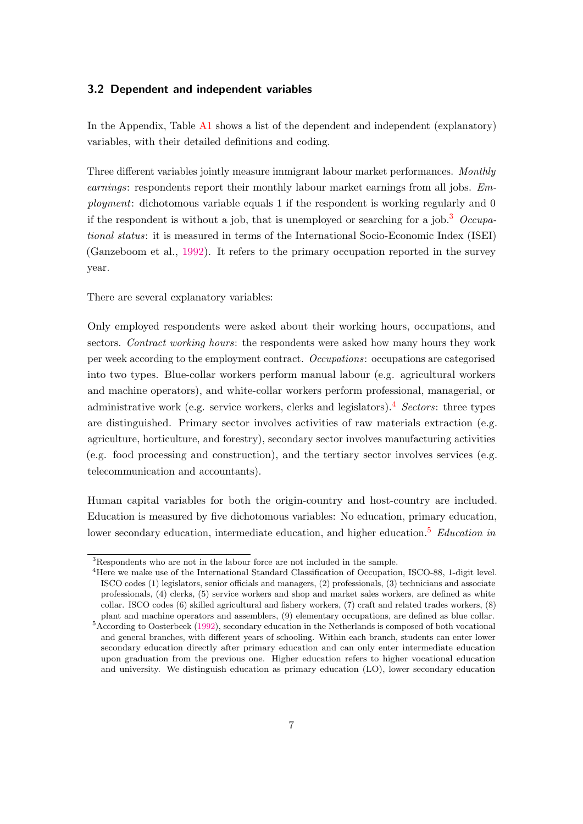### 3.2 Dependent and independent variables

In the Appendix, Table [A1](#page-24-0) shows a list of the dependent and independent (explanatory) variables, with their detailed definitions and coding.

Three different variables jointly measure immigrant labour market performances. Monthly earnings: respondents report their monthly labour market earnings from all jobs. Employment: dichotomous variable equals 1 if the respondent is working regularly and 0 if the respondent is without a job, that is unemployed or searching for a job.<sup>[3](#page-7-0)</sup> Occupational status: it is measured in terms of the International Socio-Economic Index (ISEI) (Ganzeboom et al., [1992\)](#page-20-14). It refers to the primary occupation reported in the survey year.

There are several explanatory variables:

Only employed respondents were asked about their working hours, occupations, and sectors. Contract working hours: the respondents were asked how many hours they work per week according to the employment contract. Occupations: occupations are categorised into two types. Blue-collar workers perform manual labour (e.g. agricultural workers and machine operators), and white-collar workers perform professional, managerial, or administrative work (e.g. service workers, clerks and legislators).<sup>[4](#page-7-1)</sup> Sectors: three types are distinguished. Primary sector involves activities of raw materials extraction (e.g. agriculture, horticulture, and forestry), secondary sector involves manufacturing activities (e.g. food processing and construction), and the tertiary sector involves services (e.g. telecommunication and accountants).

Human capital variables for both the origin-country and host-country are included. Education is measured by five dichotomous variables: No education, primary education, lower secondary education, intermediate education, and higher education.<sup>[5](#page-7-2)</sup> Education in

<span id="page-7-0"></span><sup>3</sup>Respondents who are not in the labour force are not included in the sample.

<span id="page-7-1"></span><sup>4</sup>Here we make use of the International Standard Classification of Occupation, ISCO-88, 1-digit level. ISCO codes (1) legislators, senior officials and managers, (2) professionals, (3) technicians and associate professionals, (4) clerks, (5) service workers and shop and market sales workers, are defined as white collar. ISCO codes (6) skilled agricultural and fishery workers, (7) craft and related trades workers, (8) plant and machine operators and assemblers, (9) elementary occupations, are defined as blue collar.

<span id="page-7-2"></span> $5$ According to Oosterbeek [\(1992\)](#page-22-7), secondary education in the Netherlands is composed of both vocational and general branches, with different years of schooling. Within each branch, students can enter lower secondary education directly after primary education and can only enter intermediate education upon graduation from the previous one. Higher education refers to higher vocational education and university. We distinguish education as primary education (LO), lower secondary education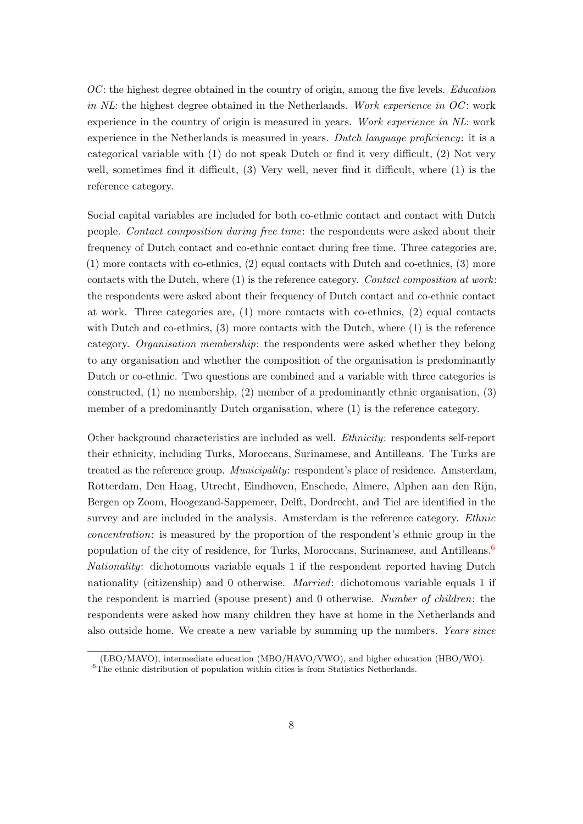$OC$ : the highest degree obtained in the country of origin, among the five levels. *Education* in  $NL$ : the highest degree obtained in the Netherlands. Work experience in  $OC$ : work experience in the country of origin is measured in years. Work experience in NL: work experience in the Netherlands is measured in years. Dutch language proficiency: it is a categorical variable with (1) do not speak Dutch or find it very difficult, (2) Not very well, sometimes find it difficult, (3) Very well, never find it difficult, where (1) is the reference category.

Social capital variables are included for both co-ethnic contact and contact with Dutch people. Contact composition during free time: the respondents were asked about their frequency of Dutch contact and co-ethnic contact during free time. Three categories are, (1) more contacts with co-ethnics, (2) equal contacts with Dutch and co-ethnics, (3) more contacts with the Dutch, where (1) is the reference category. Contact composition at work: the respondents were asked about their frequency of Dutch contact and co-ethnic contact at work. Three categories are, (1) more contacts with co-ethnics, (2) equal contacts with Dutch and co-ethnics,  $(3)$  more contacts with the Dutch, where  $(1)$  is the reference category. Organisation membership: the respondents were asked whether they belong to any organisation and whether the composition of the organisation is predominantly Dutch or co-ethnic. Two questions are combined and a variable with three categories is constructed, (1) no membership, (2) member of a predominantly ethnic organisation, (3) member of a predominantly Dutch organisation, where (1) is the reference category.

Other background characteristics are included as well. Ethnicity: respondents self-report their ethnicity, including Turks, Moroccans, Surinamese, and Antilleans. The Turks are treated as the reference group. Municipality: respondent's place of residence. Amsterdam, Rotterdam, Den Haag, Utrecht, Eindhoven, Enschede, Almere, Alphen aan den Rijn, Bergen op Zoom, Hoogezand-Sappemeer, Delft, Dordrecht, and Tiel are identified in the survey and are included in the analysis. Amsterdam is the reference category. Ethnic concentration: is measured by the proportion of the respondent's ethnic group in the population of the city of residence, for Turks, Moroccans, Surinamese, and Antilleans. $6$ Nationality: dichotomous variable equals 1 if the respondent reported having Dutch nationality (citizenship) and 0 otherwise. Married: dichotomous variable equals 1 if the respondent is married (spouse present) and 0 otherwise. Number of children: the respondents were asked how many children they have at home in the Netherlands and also outside home. We create a new variable by summing up the numbers. Years since

<sup>(</sup>LBO/MAVO), intermediate education (MBO/HAVO/VWO), and higher education (HBO/WO).

<span id="page-8-0"></span> ${}^{6}$ The ethnic distribution of population within cities is from Statistics Netherlands.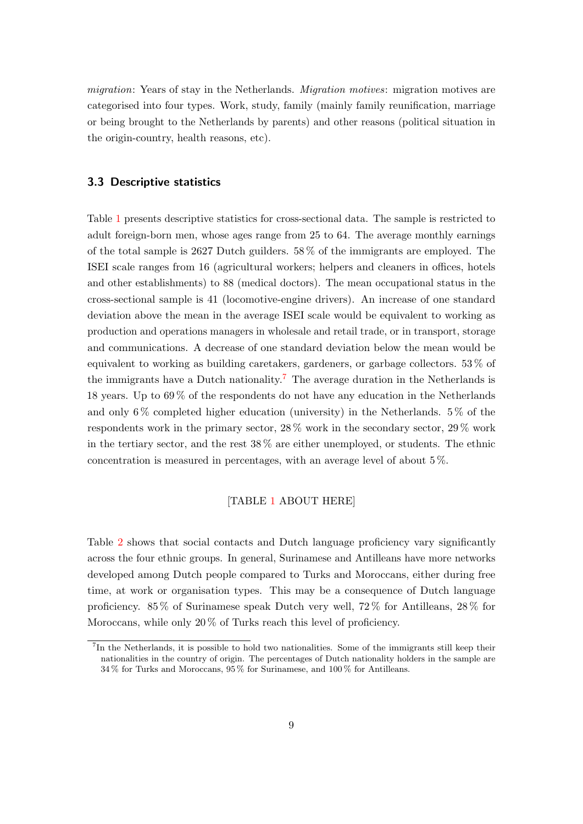migration: Years of stay in the Netherlands. *Migration motives*: migration motives are categorised into four types. Work, study, family (mainly family reunification, marriage or being brought to the Netherlands by parents) and other reasons (political situation in the origin-country, health reasons, etc).

### 3.3 Descriptive statistics

Table [1](#page-24-0) presents descriptive statistics for cross-sectional data. The sample is restricted to adult foreign-born men, whose ages range from 25 to 64. The average monthly earnings of the total sample is 2627 Dutch guilders. 58 % of the immigrants are employed. The ISEI scale ranges from 16 (agricultural workers; helpers and cleaners in offices, hotels and other establishments) to 88 (medical doctors). The mean occupational status in the cross-sectional sample is 41 (locomotive-engine drivers). An increase of one standard deviation above the mean in the average ISEI scale would be equivalent to working as production and operations managers in wholesale and retail trade, or in transport, storage and communications. A decrease of one standard deviation below the mean would be equivalent to working as building caretakers, gardeners, or garbage collectors. 53 % of the immigrants have a Dutch nationality.<sup>[7](#page-9-0)</sup> The average duration in the Netherlands is 18 years. Up to 69 % of the respondents do not have any education in the Netherlands and only  $6\%$  completed higher education (university) in the Netherlands.  $5\%$  of the respondents work in the primary sector, 28 % work in the secondary sector, 29 % work in the tertiary sector, and the rest 38 % are either unemployed, or students. The ethnic concentration is measured in percentages, with an average level of about 5 %.

#### [TABLE [1](#page-24-0) ABOUT HERE]

Table [2](#page-25-0) shows that social contacts and Dutch language proficiency vary significantly across the four ethnic groups. In general, Surinamese and Antilleans have more networks developed among Dutch people compared to Turks and Moroccans, either during free time, at work or organisation types. This may be a consequence of Dutch language proficiency. 85 % of Surinamese speak Dutch very well, 72 % for Antilleans, 28 % for Moroccans, while only 20% of Turks reach this level of proficiency.

<span id="page-9-0"></span><sup>&</sup>lt;sup>7</sup>In the Netherlands, it is possible to hold two nationalities. Some of the immigrants still keep their nationalities in the country of origin. The percentages of Dutch nationality holders in the sample are 34 % for Turks and Moroccans, 95 % for Surinamese, and 100 % for Antilleans.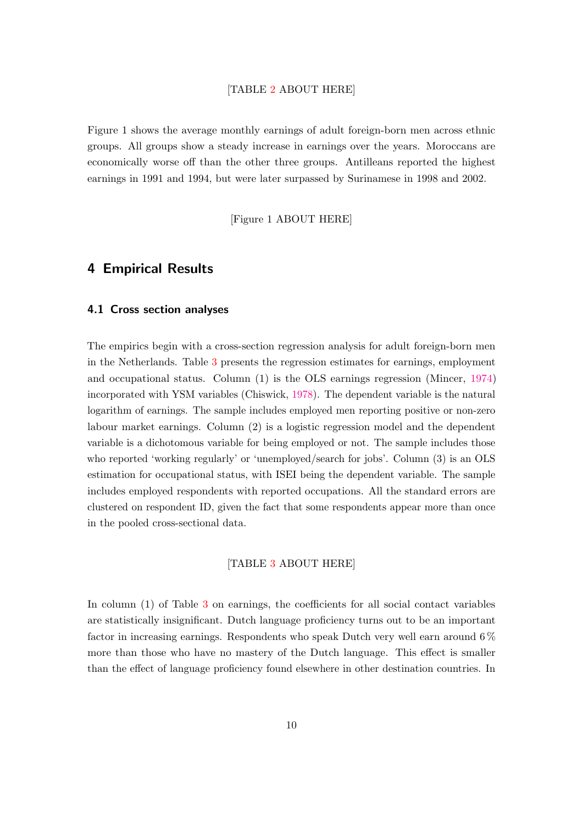#### [TABLE [2](#page-25-0) ABOUT HERE]

Figure 1 shows the average monthly earnings of adult foreign-born men across ethnic groups. All groups show a steady increase in earnings over the years. Moroccans are economically worse off than the other three groups. Antilleans reported the highest earnings in 1991 and 1994, but were later surpassed by Surinamese in 1998 and 2002.

[Figure 1 ABOUT HERE]

### 4 Empirical Results

#### 4.1 Cross section analyses

The empirics begin with a cross-section regression analysis for adult foreign-born men in the Netherlands. Table [3](#page-26-0) presents the regression estimates for earnings, employment and occupational status. Column (1) is the OLS earnings regression (Mincer, [1974\)](#page-21-15) incorporated with YSM variables (Chiswick, [1978\)](#page-20-15). The dependent variable is the natural logarithm of earnings. The sample includes employed men reporting positive or non-zero labour market earnings. Column (2) is a logistic regression model and the dependent variable is a dichotomous variable for being employed or not. The sample includes those who reported 'working regularly' or 'unemployed/search for jobs'. Column (3) is an OLS estimation for occupational status, with ISEI being the dependent variable. The sample includes employed respondents with reported occupations. All the standard errors are clustered on respondent ID, given the fact that some respondents appear more than once in the pooled cross-sectional data.

#### [TABLE [3](#page-26-0) ABOUT HERE]

In column (1) of Table [3](#page-26-0) on earnings, the coefficients for all social contact variables are statistically insignificant. Dutch language proficiency turns out to be an important factor in increasing earnings. Respondents who speak Dutch very well earn around 6 % more than those who have no mastery of the Dutch language. This effect is smaller than the effect of language proficiency found elsewhere in other destination countries. In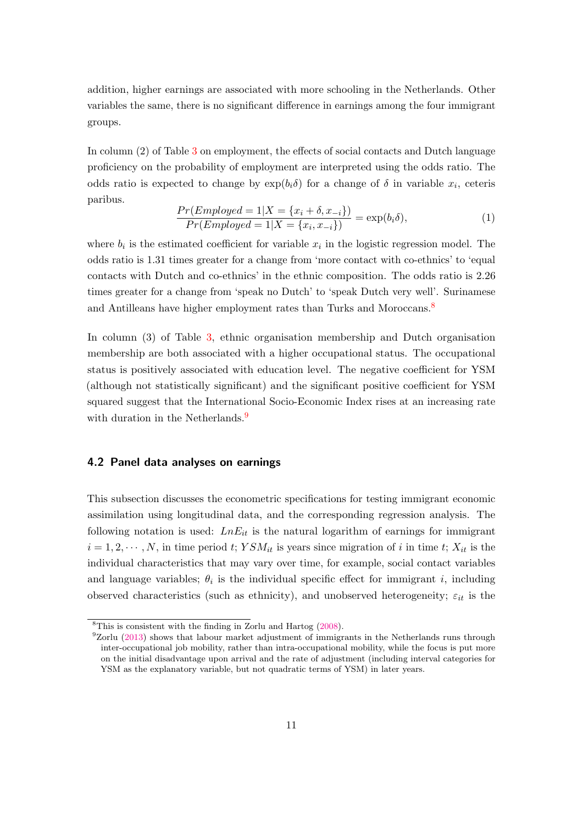addition, higher earnings are associated with more schooling in the Netherlands. Other variables the same, there is no significant difference in earnings among the four immigrant groups.

In column (2) of Table [3](#page-26-0) on employment, the effects of social contacts and Dutch language proficiency on the probability of employment are interpreted using the odds ratio. The odds ratio is expected to change by  $exp(b_i\delta)$  for a change of  $\delta$  in variable  $x_i$ , ceteris paribus.

$$
\frac{Pr(Employeed = 1|X = \{x_i + \delta, x_{-i}\})}{Pr(Employeed = 1|X = \{x_i, x_{-i}\})} = \exp(b_i \delta),
$$
\n(1)

where  $b_i$  is the estimated coefficient for variable  $x_i$  in the logistic regression model. The odds ratio is 1.31 times greater for a change from 'more contact with co-ethnics' to 'equal contacts with Dutch and co-ethnics' in the ethnic composition. The odds ratio is 2.26 times greater for a change from 'speak no Dutch' to 'speak Dutch very well'. Surinamese and Antilleans have higher employment rates than Turks and Moroccans.<sup>[8](#page-11-0)</sup>

In column (3) of Table [3,](#page-26-0) ethnic organisation membership and Dutch organisation membership are both associated with a higher occupational status. The occupational status is positively associated with education level. The negative coefficient for YSM (although not statistically significant) and the significant positive coefficient for YSM squared suggest that the International Socio-Economic Index rises at an increasing rate with duration in the Netherlands.<sup>[9](#page-11-1)</sup>

#### 4.2 Panel data analyses on earnings

This subsection discusses the econometric specifications for testing immigrant economic assimilation using longitudinal data, and the corresponding regression analysis. The following notation is used:  $LnE_{it}$  is the natural logarithm of earnings for immigrant  $i = 1, 2, \dots, N$ , in time period *t*;  $YSM_{it}$  is years since migration of *i* in time *t*;  $X_{it}$  is the individual characteristics that may vary over time, for example, social contact variables and language variables;  $\theta_i$  is the individual specific effect for immigrant *i*, including observed characteristics (such as ethnicity), and unobserved heterogeneity;  $\varepsilon_{it}$  is the

<span id="page-11-0"></span><sup>8</sup>This is consistent with the finding in Zorlu and Hartog [\(2008\)](#page-22-8).

<span id="page-11-1"></span> $9Zorlu$  [\(2013\)](#page-22-9) shows that labour market adjustment of immigrants in the Netherlands runs through inter-occupational job mobility, rather than intra-occupational mobility, while the focus is put more on the initial disadvantage upon arrival and the rate of adjustment (including interval categories for YSM as the explanatory variable, but not quadratic terms of YSM) in later years.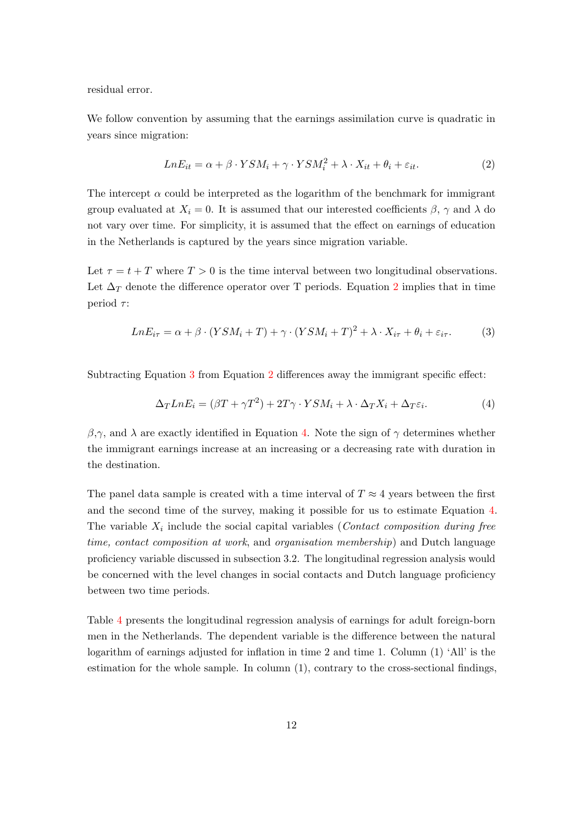residual error.

We follow convention by assuming that the earnings assimilation curve is quadratic in years since migration:

<span id="page-12-0"></span>
$$
LnE_{it} = \alpha + \beta \cdot YSM_i + \gamma \cdot YSM_i^2 + \lambda \cdot X_{it} + \theta_i + \varepsilon_{it}.
$$
 (2)

The intercept  $\alpha$  could be interpreted as the logarithm of the benchmark for immigrant group evaluated at  $X_i = 0$ . It is assumed that our interested coefficients  $\beta$ ,  $\gamma$  and  $\lambda$  do not vary over time. For simplicity, it is assumed that the effect on earnings of education in the Netherlands is captured by the years since migration variable.

Let  $\tau = t + T$  where  $T > 0$  is the time interval between two longitudinal observations. Let  $\Delta_T$  denote the difference operator over T periods. Equation [2](#page-12-0) implies that in time period *τ* :

<span id="page-12-1"></span>
$$
LnE_{i\tau} = \alpha + \beta \cdot (YSM_i + T) + \gamma \cdot (YSM_i + T)^2 + \lambda \cdot X_{i\tau} + \theta_i + \varepsilon_{i\tau}.
$$
 (3)

Subtracting Equation [3](#page-12-1) from Equation [2](#page-12-0) differences away the immigrant specific effect:

<span id="page-12-2"></span>
$$
\Delta_T L n E_i = (\beta T + \gamma T^2) + 2T \gamma \cdot Y S M_i + \lambda \cdot \Delta_T X_i + \Delta_T \varepsilon_i.
$$
\n(4)

 $β, γ$ , and *λ* are exactly identified in Equation [4.](#page-12-2) Note the sign of  $γ$  determines whether the immigrant earnings increase at an increasing or a decreasing rate with duration in the destination.

The panel data sample is created with a time interval of  $T \approx 4$  years between the first and the second time of the survey, making it possible for us to estimate Equation [4.](#page-12-2) The variable  $X_i$  include the social capital variables (*Contact composition during free* time, contact composition at work, and organisation membership) and Dutch language proficiency variable discussed in subsection 3.2. The longitudinal regression analysis would be concerned with the level changes in social contacts and Dutch language proficiency between two time periods.

Table [4](#page-27-0) presents the longitudinal regression analysis of earnings for adult foreign-born men in the Netherlands. The dependent variable is the difference between the natural logarithm of earnings adjusted for inflation in time 2 and time 1. Column (1) 'All' is the estimation for the whole sample. In column (1), contrary to the cross-sectional findings,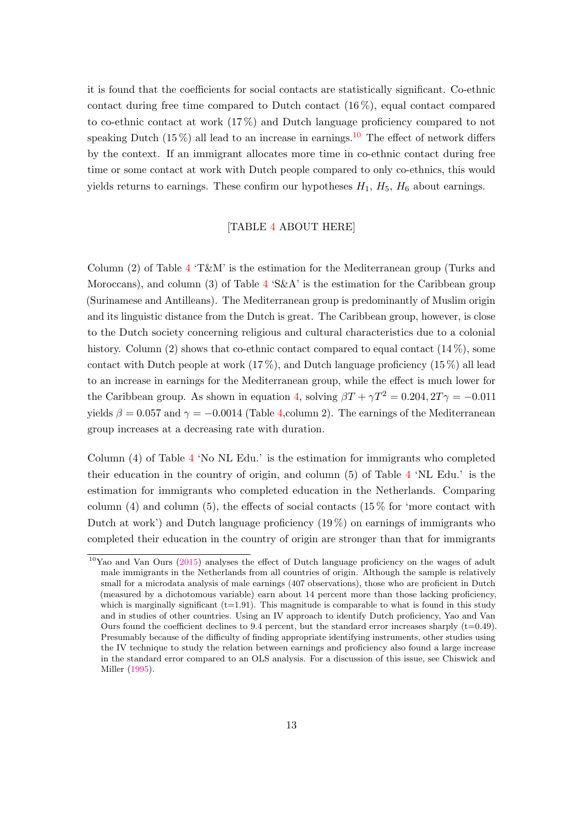it is found that the coefficients for social contacts are statistically significant. Co-ethnic contact during free time compared to Dutch contact  $(16\%)$ , equal contact compared to co-ethnic contact at work (17 %) and Dutch language proficiency compared to not speaking Dutch  $(15\%)$  all lead to an increase in earnings.<sup>[10](#page-13-0)</sup> The effect of network differs by the context. If an immigrant allocates more time in co-ethnic contact during free time or some contact at work with Dutch people compared to only co-ethnics, this would yields returns to earnings. These confirm our hypotheses  $H_1$ ,  $H_5$ ,  $H_6$  about earnings.

#### [TABLE [4](#page-27-0) ABOUT HERE]

Column (2) of Table [4](#page-27-0) 'T&M' is the estimation for the Mediterranean group (Turks and Moroccans), and column (3) of Table  $4.5\&A$  $4.5\&A$  is the estimation for the Caribbean group (Surinamese and Antilleans). The Mediterranean group is predominantly of Muslim origin and its linguistic distance from the Dutch is great. The Caribbean group, however, is close to the Dutch society concerning religious and cultural characteristics due to a colonial history. Column (2) shows that co-ethnic contact compared to equal contact  $(14\%)$ , some contact with Dutch people at work  $(17\%)$ , and Dutch language proficiency  $(15\%)$  all lead to an increase in earnings for the Mediterranean group, while the effect is much lower for the Caribbean group. As shown in equation [4,](#page-12-2) solving  $\beta T + \gamma T^2 = 0.204, 2T\gamma = -0.011$ yields  $\beta = 0.057$  and  $\gamma = -0.0014$  (Table [4,](#page-27-0) column 2). The earnings of the Mediterranean group increases at a decreasing rate with duration.

Column (4) of Table [4](#page-27-0) 'No NL Edu.' is the estimation for immigrants who completed their education in the country of origin, and column (5) of Table [4](#page-27-0) 'NL Edu.' is the estimation for immigrants who completed education in the Netherlands. Comparing column (4) and column (5), the effects of social contacts (15 $\%$  for 'more contact with Dutch at work') and Dutch language proficiency  $(19\%)$  on earnings of immigrants who completed their education in the country of origin are stronger than that for immigrants

<span id="page-13-0"></span><sup>&</sup>lt;sup>10</sup>Yao and Van Ours [\(2015\)](#page-22-10) analyses the effect of Dutch language proficiency on the wages of adult male immigrants in the Netherlands from all countries of origin. Although the sample is relatively small for a microdata analysis of male earnings (407 observations), those who are proficient in Dutch (measured by a dichotomous variable) earn about 14 percent more than those lacking proficiency, which is marginally significant  $(t=1.91)$ . This magnitude is comparable to what is found in this study and in studies of other countries. Using an IV approach to identify Dutch proficiency, Yao and Van Ours found the coefficient declines to 9.4 percent, but the standard error increases sharply  $(t=0.49)$ . Presumably because of the difficulty of finding appropriate identifying instruments, other studies using the IV technique to study the relation between earnings and proficiency also found a large increase in the standard error compared to an OLS analysis. For a discussion of this issue, see Chiswick and Miller [\(1995\)](#page-20-1).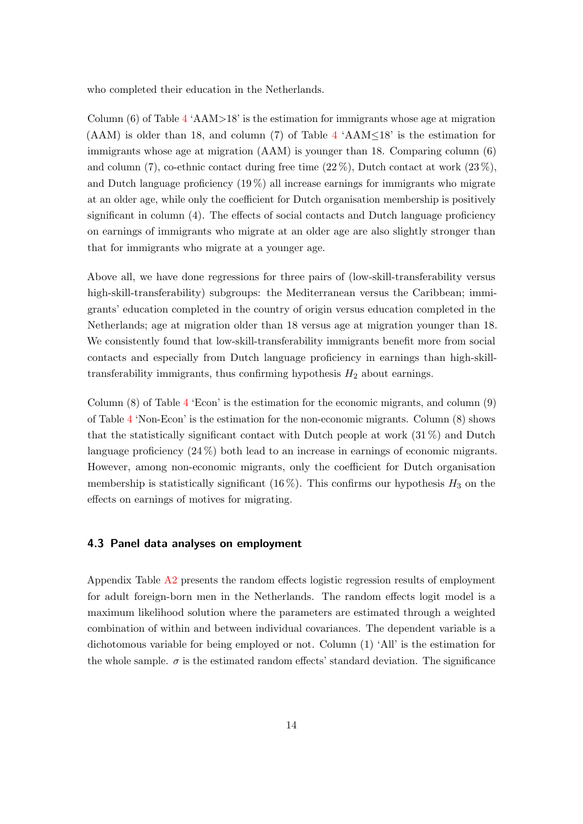who completed their education in the Netherlands.

Column (6) of Table  $4 \text{'}AM>18$  $4 \text{'}AM>18$  is the estimation for immigrants whose age at migration (AAM) is older than 18, and column (7) of Table [4](#page-27-0) 'AAM≤18' is the estimation for immigrants whose age at migration (AAM) is younger than 18. Comparing column (6) and column (7), co-ethnic contact during free time  $(22\%)$ , Dutch contact at work  $(23\%)$ , and Dutch language proficiency (19 %) all increase earnings for immigrants who migrate at an older age, while only the coefficient for Dutch organisation membership is positively significant in column (4). The effects of social contacts and Dutch language proficiency on earnings of immigrants who migrate at an older age are also slightly stronger than that for immigrants who migrate at a younger age.

Above all, we have done regressions for three pairs of (low-skill-transferability versus high-skill-transferability) subgroups: the Mediterranean versus the Caribbean; immigrants' education completed in the country of origin versus education completed in the Netherlands; age at migration older than 18 versus age at migration younger than 18. We consistently found that low-skill-transferability immigrants benefit more from social contacts and especially from Dutch language proficiency in earnings than high-skilltransferability immigrants, thus confirming hypothesis  $H_2$  about earnings.

Column (8) of Table [4](#page-27-0) 'Econ' is the estimation for the economic migrants, and column (9) of Table [4](#page-27-0) 'Non-Econ' is the estimation for the non-economic migrants. Column (8) shows that the statistically significant contact with Dutch people at work  $(31\%)$  and Dutch language proficiency (24 %) both lead to an increase in earnings of economic migrants. However, among non-economic migrants, only the coefficient for Dutch organisation membership is statistically significant  $(16\%)$ . This confirms our hypothesis  $H_3$  on the effects on earnings of motives for migrating.

#### 4.3 Panel data analyses on employment

Appendix Table [A2](#page-25-0) presents the random effects logistic regression results of employment for adult foreign-born men in the Netherlands. The random effects logit model is a maximum likelihood solution where the parameters are estimated through a weighted combination of within and between individual covariances. The dependent variable is a dichotomous variable for being employed or not. Column (1) 'All' is the estimation for the whole sample.  $\sigma$  is the estimated random effects' standard deviation. The significance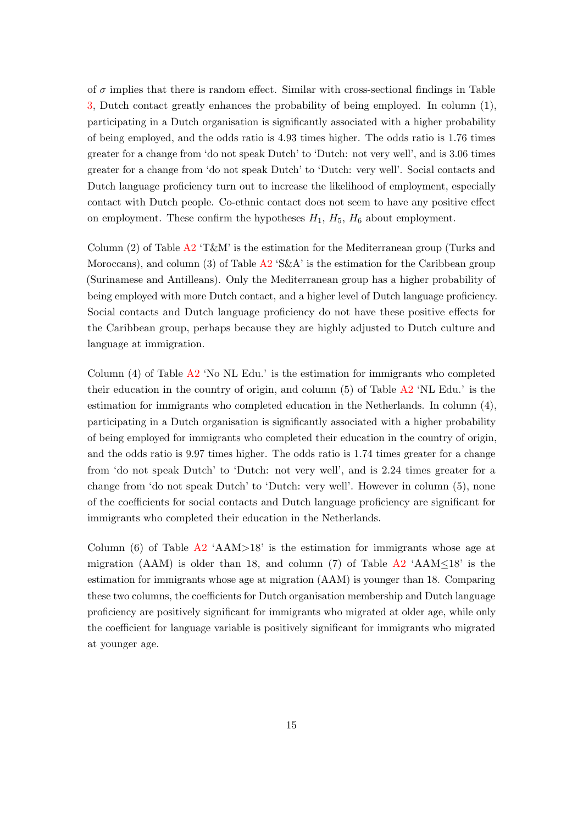of  $\sigma$  implies that there is random effect. Similar with cross-sectional findings in Table [3,](#page-26-0) Dutch contact greatly enhances the probability of being employed. In column (1), participating in a Dutch organisation is significantly associated with a higher probability of being employed, and the odds ratio is 4.93 times higher. The odds ratio is 1.76 times greater for a change from 'do not speak Dutch' to 'Dutch: not very well', and is 3.06 times greater for a change from 'do not speak Dutch' to 'Dutch: very well'. Social contacts and Dutch language proficiency turn out to increase the likelihood of employment, especially contact with Dutch people. Co-ethnic contact does not seem to have any positive effect on employment. These confirm the hypotheses  $H_1$ ,  $H_5$ ,  $H_6$  about employment.

Column (2) of Table [A2](#page-25-0) 'T&M' is the estimation for the Mediterranean group (Turks and Moroccans), and column (3) of Table  $A2$  'S&A' is the estimation for the Caribbean group (Surinamese and Antilleans). Only the Mediterranean group has a higher probability of being employed with more Dutch contact, and a higher level of Dutch language proficiency. Social contacts and Dutch language proficiency do not have these positive effects for the Caribbean group, perhaps because they are highly adjusted to Dutch culture and language at immigration.

Column  $(4)$  of Table  $\overline{A2}$  $\overline{A2}$  $\overline{A2}$  'No NL Edu.' is the estimation for immigrants who completed their education in the country of origin, and column (5) of Table [A2](#page-25-0) 'NL Edu.' is the estimation for immigrants who completed education in the Netherlands. In column (4), participating in a Dutch organisation is significantly associated with a higher probability of being employed for immigrants who completed their education in the country of origin, and the odds ratio is 9.97 times higher. The odds ratio is 1.74 times greater for a change from 'do not speak Dutch' to 'Dutch: not very well', and is 2.24 times greater for a change from 'do not speak Dutch' to 'Dutch: very well'. However in column (5), none of the coefficients for social contacts and Dutch language proficiency are significant for immigrants who completed their education in the Netherlands.

Column  $(6)$  of Table [A2](#page-25-0) 'AAM>18' is the estimation for immigrants whose age at migration (AAM) is older than 18, and column (7) of Table  $A2 \text{ 'AAM} \leq 18$  $A2 \text{ 'AAM} \leq 18$ ' is the estimation for immigrants whose age at migration (AAM) is younger than 18. Comparing these two columns, the coefficients for Dutch organisation membership and Dutch language proficiency are positively significant for immigrants who migrated at older age, while only the coefficient for language variable is positively significant for immigrants who migrated at younger age.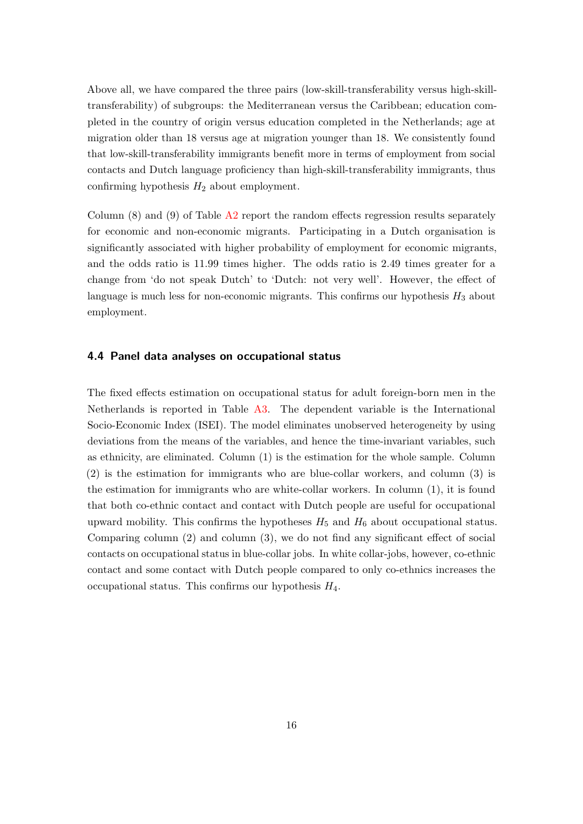Above all, we have compared the three pairs (low-skill-transferability versus high-skilltransferability) of subgroups: the Mediterranean versus the Caribbean; education completed in the country of origin versus education completed in the Netherlands; age at migration older than 18 versus age at migration younger than 18. We consistently found that low-skill-transferability immigrants benefit more in terms of employment from social contacts and Dutch language proficiency than high-skill-transferability immigrants, thus confirming hypothesis  $H_2$  about employment.

Column  $(8)$  and  $(9)$  of Table  $\overline{A2}$  $\overline{A2}$  $\overline{A2}$  report the random effects regression results separately for economic and non-economic migrants. Participating in a Dutch organisation is significantly associated with higher probability of employment for economic migrants, and the odds ratio is 11.99 times higher. The odds ratio is 2.49 times greater for a change from 'do not speak Dutch' to 'Dutch: not very well'. However, the effect of language is much less for non-economic migrants. This confirms our hypothesis  $H_3$  about employment.

#### 4.4 Panel data analyses on occupational status

The fixed effects estimation on occupational status for adult foreign-born men in the Netherlands is reported in Table [A3.](#page-26-0) The dependent variable is the International Socio-Economic Index (ISEI). The model eliminates unobserved heterogeneity by using deviations from the means of the variables, and hence the time-invariant variables, such as ethnicity, are eliminated. Column (1) is the estimation for the whole sample. Column (2) is the estimation for immigrants who are blue-collar workers, and column (3) is the estimation for immigrants who are white-collar workers. In column (1), it is found that both co-ethnic contact and contact with Dutch people are useful for occupational upward mobility. This confirms the hypotheses  $H_5$  and  $H_6$  about occupational status. Comparing column (2) and column (3), we do not find any significant effect of social contacts on occupational status in blue-collar jobs. In white collar-jobs, however, co-ethnic contact and some contact with Dutch people compared to only co-ethnics increases the occupational status. This confirms our hypothesis *H*4.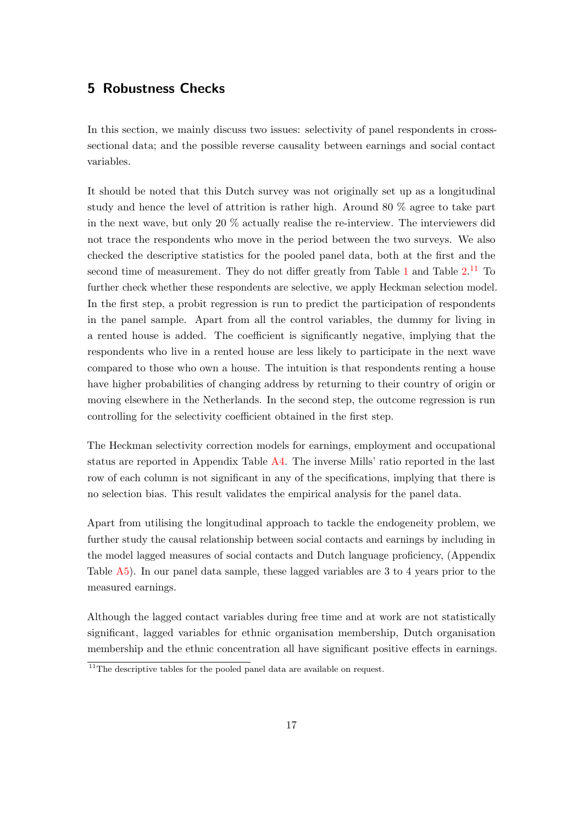## 5 Robustness Checks

In this section, we mainly discuss two issues: selectivity of panel respondents in crosssectional data; and the possible reverse causality between earnings and social contact variables.

It should be noted that this Dutch survey was not originally set up as a longitudinal study and hence the level of attrition is rather high. Around 80 % agree to take part in the next wave, but only 20 % actually realise the re-interview. The interviewers did not trace the respondents who move in the period between the two surveys. We also checked the descriptive statistics for the pooled panel data, both at the first and the second time of measurement. They do not differ greatly from Table  $1$  and Table  $2^{11}$  $2^{11}$  $2^{11}$  To further check whether these respondents are selective, we apply Heckman selection model. In the first step, a probit regression is run to predict the participation of respondents in the panel sample. Apart from all the control variables, the dummy for living in a rented house is added. The coefficient is significantly negative, implying that the respondents who live in a rented house are less likely to participate in the next wave compared to those who own a house. The intuition is that respondents renting a house have higher probabilities of changing address by returning to their country of origin or moving elsewhere in the Netherlands. In the second step, the outcome regression is run controlling for the selectivity coefficient obtained in the first step.

The Heckman selectivity correction models for earnings, employment and occupational status are reported in Appendix Table [A4.](#page-27-0) The inverse Mills' ratio reported in the last row of each column is not significant in any of the specifications, implying that there is no selection bias. This result validates the empirical analysis for the panel data.

Apart from utilising the longitudinal approach to tackle the endogeneity problem, we further study the causal relationship between social contacts and earnings by including in the model lagged measures of social contacts and Dutch language proficiency, (Appendix Table [A5\)](#page-35-0). In our panel data sample, these lagged variables are 3 to 4 years prior to the measured earnings.

Although the lagged contact variables during free time and at work are not statistically significant, lagged variables for ethnic organisation membership, Dutch organisation membership and the ethnic concentration all have significant positive effects in earnings.

<span id="page-17-0"></span><sup>&</sup>lt;sup>11</sup>The descriptive tables for the pooled panel data are available on request.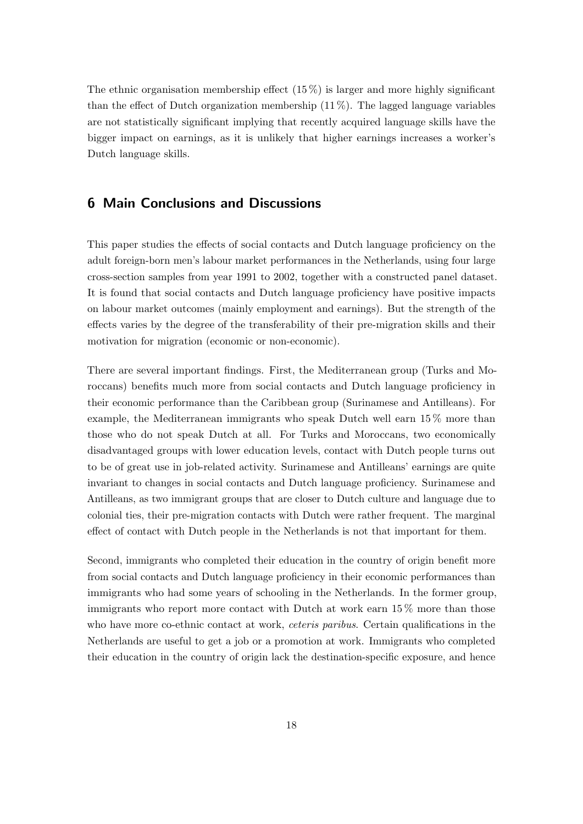The ethnic organisation membership effect  $(15\%)$  is larger and more highly significant than the effect of Dutch organization membership  $(11\%)$ . The lagged language variables are not statistically significant implying that recently acquired language skills have the bigger impact on earnings, as it is unlikely that higher earnings increases a worker's Dutch language skills.

# 6 Main Conclusions and Discussions

This paper studies the effects of social contacts and Dutch language proficiency on the adult foreign-born men's labour market performances in the Netherlands, using four large cross-section samples from year 1991 to 2002, together with a constructed panel dataset. It is found that social contacts and Dutch language proficiency have positive impacts on labour market outcomes (mainly employment and earnings). But the strength of the effects varies by the degree of the transferability of their pre-migration skills and their motivation for migration (economic or non-economic).

There are several important findings. First, the Mediterranean group (Turks and Moroccans) benefits much more from social contacts and Dutch language proficiency in their economic performance than the Caribbean group (Surinamese and Antilleans). For example, the Mediterranean immigrants who speak Dutch well earn 15 % more than those who do not speak Dutch at all. For Turks and Moroccans, two economically disadvantaged groups with lower education levels, contact with Dutch people turns out to be of great use in job-related activity. Surinamese and Antilleans' earnings are quite invariant to changes in social contacts and Dutch language proficiency. Surinamese and Antilleans, as two immigrant groups that are closer to Dutch culture and language due to colonial ties, their pre-migration contacts with Dutch were rather frequent. The marginal effect of contact with Dutch people in the Netherlands is not that important for them.

Second, immigrants who completed their education in the country of origin benefit more from social contacts and Dutch language proficiency in their economic performances than immigrants who had some years of schooling in the Netherlands. In the former group, immigrants who report more contact with Dutch at work earn 15 % more than those who have more co-ethnic contact at work, *ceteris paribus*. Certain qualifications in the Netherlands are useful to get a job or a promotion at work. Immigrants who completed their education in the country of origin lack the destination-specific exposure, and hence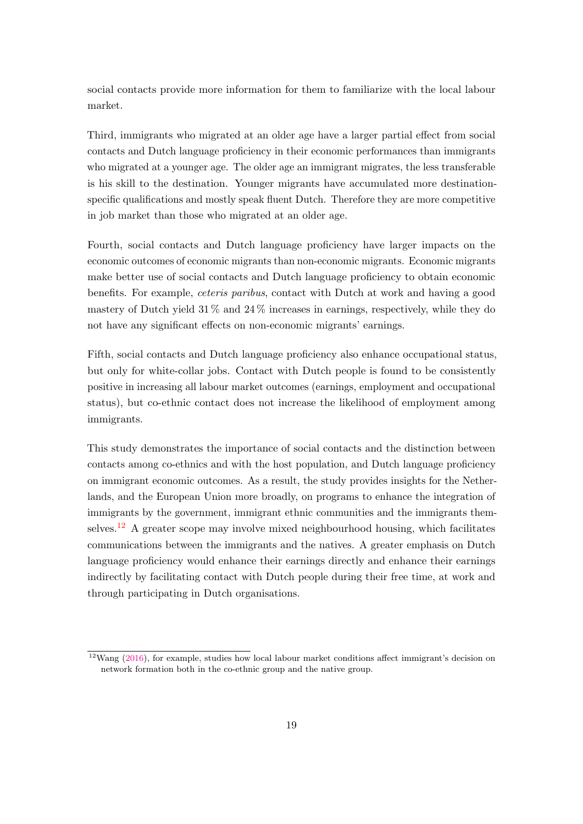social contacts provide more information for them to familiarize with the local labour market.

Third, immigrants who migrated at an older age have a larger partial effect from social contacts and Dutch language proficiency in their economic performances than immigrants who migrated at a younger age. The older age an immigrant migrates, the less transferable is his skill to the destination. Younger migrants have accumulated more destinationspecific qualifications and mostly speak fluent Dutch. Therefore they are more competitive in job market than those who migrated at an older age.

Fourth, social contacts and Dutch language proficiency have larger impacts on the economic outcomes of economic migrants than non-economic migrants. Economic migrants make better use of social contacts and Dutch language proficiency to obtain economic benefits. For example, ceteris paribus, contact with Dutch at work and having a good mastery of Dutch yield  $31\%$  and  $24\%$  increases in earnings, respectively, while they do not have any significant effects on non-economic migrants' earnings.

Fifth, social contacts and Dutch language proficiency also enhance occupational status, but only for white-collar jobs. Contact with Dutch people is found to be consistently positive in increasing all labour market outcomes (earnings, employment and occupational status), but co-ethnic contact does not increase the likelihood of employment among immigrants.

This study demonstrates the importance of social contacts and the distinction between contacts among co-ethnics and with the host population, and Dutch language proficiency on immigrant economic outcomes. As a result, the study provides insights for the Netherlands, and the European Union more broadly, on programs to enhance the integration of immigrants by the government, immigrant ethnic communities and the immigrants them-selves.<sup>[12](#page-19-0)</sup> A greater scope may involve mixed neighbourhood housing, which facilitates communications between the immigrants and the natives. A greater emphasis on Dutch language proficiency would enhance their earnings directly and enhance their earnings indirectly by facilitating contact with Dutch people during their free time, at work and through participating in Dutch organisations.

<span id="page-19-0"></span> $12$ Wang [\(2016\)](#page-22-11), for example, studies how local labour market conditions affect immigrant's decision on network formation both in the co-ethnic group and the native group.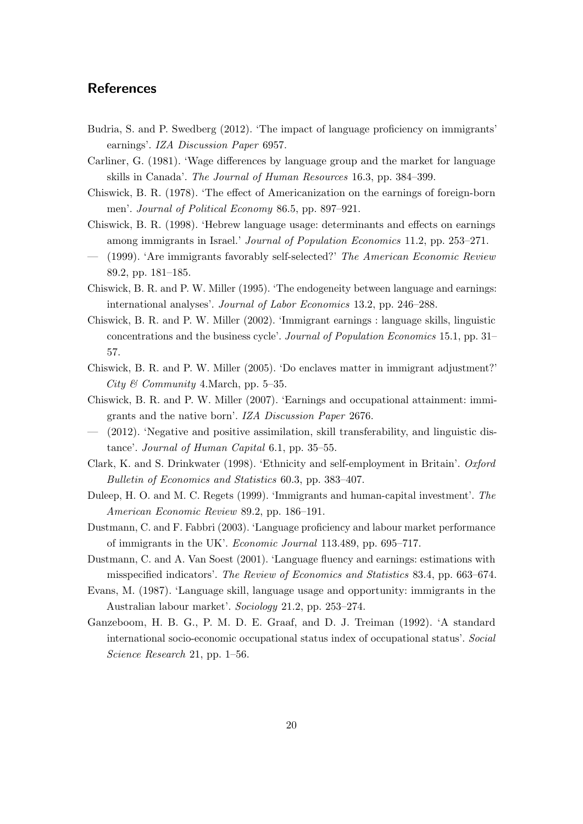# **References**

- <span id="page-20-4"></span>Budria, S. and P. Swedberg (2012). 'The impact of language proficiency on immigrants' earnings'. IZA Discussion Paper 6957.
- <span id="page-20-0"></span>Carliner, G. (1981). 'Wage differences by language group and the market for language skills in Canada'. The Journal of Human Resources 16.3, pp. 384–399.
- <span id="page-20-15"></span>Chiswick, B. R. (1978). 'The effect of Americanization on the earnings of foreign-born men'. Journal of Political Economy 86.5, pp. 897–921.
- <span id="page-20-5"></span>Chiswick, B. R. (1998). 'Hebrew language usage: determinants and effects on earnings among immigrants in Israel.' Journal of Population Economics 11.2, pp. 253–271.
- <span id="page-20-9"></span>— (1999). 'Are immigrants favorably self-selected?' The American Economic Review 89.2, pp. 181–185.
- <span id="page-20-1"></span>Chiswick, B. R. and P. W. Miller (1995). 'The endogeneity between language and earnings: international analyses'. Journal of Labor Economics 13.2, pp. 246–288.
- <span id="page-20-2"></span>Chiswick, B. R. and P. W. Miller (2002). 'Immigrant earnings : language skills, linguistic concentrations and the business cycle'. Journal of Population Economics 15.1, pp. 31– 57.
- <span id="page-20-12"></span>Chiswick, B. R. and P. W. Miller (2005). 'Do enclaves matter in immigrant adjustment?' City & Community 4. March, pp. 5–35.
- <span id="page-20-10"></span>Chiswick, B. R. and P. W. Miller (2007). 'Earnings and occupational attainment: immigrants and the native born'. IZA Discussion Paper 2676.
- <span id="page-20-7"></span>— (2012). 'Negative and positive assimilation, skill transferability, and linguistic distance'. Journal of Human Capital 6.1, pp. 35–55.
- <span id="page-20-13"></span>Clark, K. and S. Drinkwater (1998). 'Ethnicity and self-employment in Britain'. Oxford Bulletin of Economics and Statistics 60.3, pp. 383–407.
- <span id="page-20-8"></span>Duleep, H. O. and M. C. Regets (1999). 'Immigrants and human-capital investment'. The American Economic Review 89.2, pp. 186–191.
- <span id="page-20-3"></span>Dustmann, C. and F. Fabbri (2003). 'Language proficiency and labour market performance of immigrants in the UK'. Economic Journal 113.489, pp. 695–717.
- <span id="page-20-6"></span>Dustmann, C. and A. Van Soest (2001). 'Language fluency and earnings: estimations with misspecified indicators'. The Review of Economics and Statistics 83.4, pp. 663–674.
- <span id="page-20-11"></span>Evans, M. (1987). 'Language skill, language usage and opportunity: immigrants in the Australian labour market'. Sociology 21.2, pp. 253–274.
- <span id="page-20-14"></span>Ganzeboom, H. B. G., P. M. D. E. Graaf, and D. J. Treiman (1992). 'A standard international socio-economic occupational status index of occupational status'. Social Science Research 21, pp. 1–56.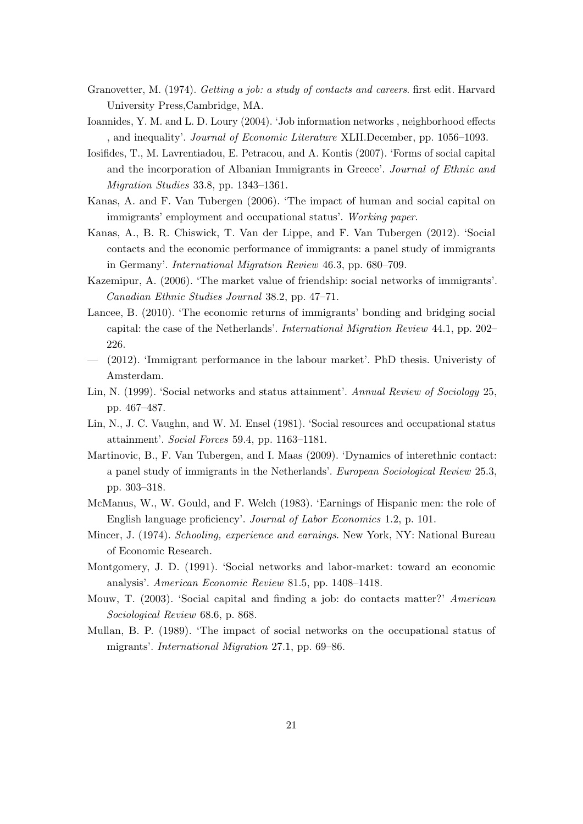- <span id="page-21-4"></span>Granovetter, M. (1974). Getting a job: a study of contacts and careers. first edit. Harvard University Press,Cambridge, MA.
- <span id="page-21-5"></span>Ioannides, Y. M. and L. D. Loury (2004). 'Job information networks , neighborhood effects , and inequality'. Journal of Economic Literature XLII.December, pp. 1056–1093.
- <span id="page-21-11"></span>Iosifides, T., M. Lavrentiadou, E. Petracou, and A. Kontis (2007). 'Forms of social capital and the incorporation of Albanian Immigrants in Greece'. Journal of Ethnic and Migration Studies 33.8, pp. 1343–1361.
- <span id="page-21-0"></span>Kanas, A. and F. Van Tubergen (2006). 'The impact of human and social capital on immigrants' employment and occupational status'. Working paper.
- <span id="page-21-3"></span>Kanas, A., B. R. Chiswick, T. Van der Lippe, and F. Van Tubergen (2012). 'Social contacts and the economic performance of immigrants: a panel study of immigrants in Germany'. International Migration Review 46.3, pp. 680–709.
- <span id="page-21-12"></span>Kazemipur, A. (2006). 'The market value of friendship: social networks of immigrants'. Canadian Ethnic Studies Journal 38.2, pp. 47–71.
- <span id="page-21-1"></span>Lancee, B. (2010). 'The economic returns of immigrants' bonding and bridging social capital: the case of the Netherlands'. International Migration Review 44.1, pp. 202– 226.
- <span id="page-21-13"></span>— (2012). 'Immigrant performance in the labour market'. PhD thesis. Univeristy of Amsterdam.
- <span id="page-21-7"></span>Lin, N. (1999). 'Social networks and status attainment'. Annual Review of Sociology 25, pp. 467–487.
- <span id="page-21-2"></span>Lin, N., J. C. Vaughn, and W. M. Ensel (1981). 'Social resources and occupational status attainment'. Social Forces 59.4, pp. 1163–1181.
- <span id="page-21-14"></span>Martinovic, B., F. Van Tubergen, and I. Maas (2009). 'Dynamics of interethnic contact: a panel study of immigrants in the Netherlands'. European Sociological Review 25.3, pp. 303–318.
- <span id="page-21-9"></span>McManus, W., W. Gould, and F. Welch (1983). 'Earnings of Hispanic men: the role of English language proficiency'. Journal of Labor Economics 1.2, p. 101.
- <span id="page-21-15"></span>Mincer, J. (1974). Schooling, experience and earnings. New York, NY: National Bureau of Economic Research.
- <span id="page-21-6"></span>Montgomery, J. D. (1991). 'Social networks and labor-market: toward an economic analysis'. American Economic Review 81.5, pp. 1408–1418.
- <span id="page-21-8"></span>Mouw, T. (2003). 'Social capital and finding a job: do contacts matter?' American Sociological Review 68.6, p. 868.
- <span id="page-21-10"></span>Mullan, B. P. (1989). 'The impact of social networks on the occupational status of migrants'. International Migration 27.1, pp. 69–86.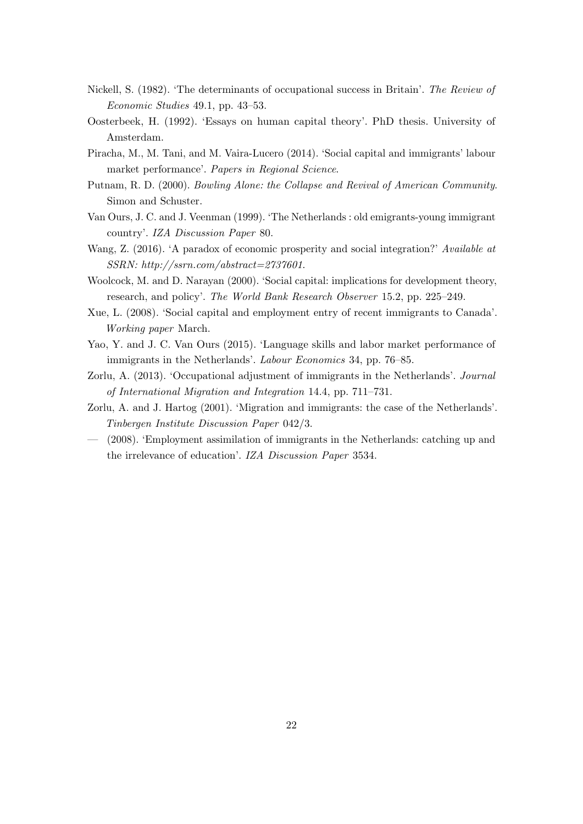- <span id="page-22-4"></span>Nickell, S. (1982). 'The determinants of occupational success in Britain'. The Review of Economic Studies 49.1, pp. 43–53.
- <span id="page-22-7"></span>Oosterbeek, H. (1992). 'Essays on human capital theory'. PhD thesis. University of Amsterdam.
- <span id="page-22-3"></span>Piracha, M., M. Tani, and M. Vaira-Lucero (2014). 'Social capital and immigrants' labour market performance'. Papers in Regional Science.
- <span id="page-22-5"></span>Putnam, R. D. (2000). Bowling Alone: the Collapse and Revival of American Community. Simon and Schuster.
- <span id="page-22-0"></span>Van Ours, J. C. and J. Veenman (1999). 'The Netherlands : old emigrants-young immigrant country'. IZA Discussion Paper 80.
- <span id="page-22-11"></span>Wang, Z. (2016). 'A paradox of economic prosperity and social integration?' Available at SSRN: http://ssrn.com/abstract=2737601.
- <span id="page-22-6"></span>Woolcock, M. and D. Narayan (2000). 'Social capital: implications for development theory, research, and policy'. The World Bank Research Observer 15.2, pp. 225–249.
- <span id="page-22-2"></span>Xue, L. (2008). 'Social capital and employment entry of recent immigrants to Canada'. Working paper March.
- <span id="page-22-10"></span>Yao, Y. and J. C. Van Ours (2015). 'Language skills and labor market performance of immigrants in the Netherlands'. Labour Economics 34, pp. 76–85.
- <span id="page-22-9"></span>Zorlu, A. (2013). 'Occupational adjustment of immigrants in the Netherlands'. Journal of International Migration and Integration 14.4, pp. 711–731.
- <span id="page-22-1"></span>Zorlu, A. and J. Hartog (2001). 'Migration and immigrants: the case of the Netherlands'. Tinbergen Institute Discussion Paper 042/3.
- <span id="page-22-8"></span>— (2008). 'Employment assimilation of immigrants in the Netherlands: catching up and the irrelevance of education'. IZA Discussion Paper 3534.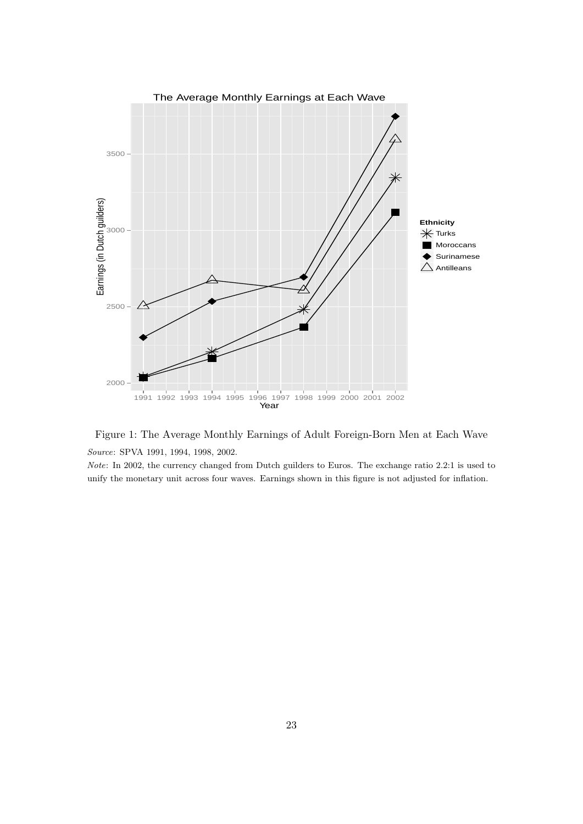

Figure 1: The Average Monthly Earnings of Adult Foreign-Born Men at Each Wave Source: SPVA 1991, 1994, 1998, 2002.

Note: In 2002, the currency changed from Dutch guilders to Euros. The exchange ratio 2.2:1 is used to unify the monetary unit across four waves. Earnings shown in this figure is not adjusted for inflation.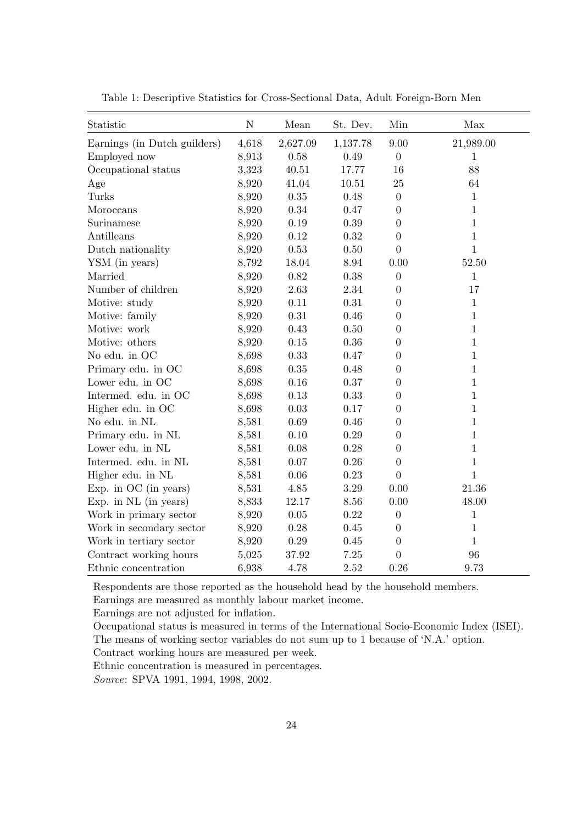| Statistic                    | ${\bf N}$ | ${\it Mean}$ | St. Dev. | Min              | Max          |
|------------------------------|-----------|--------------|----------|------------------|--------------|
| Earnings (in Dutch guilders) | 4,618     | 2,627.09     | 1,137.78 | 9.00             | 21,989.00    |
| Employed now                 | 8,913     | 0.58         | 0.49     | $\boldsymbol{0}$ | $\mathbf{1}$ |
| Occupational status          | 3,323     | 40.51        | 17.77    | 16               | 88           |
| Age                          | 8,920     | 41.04        | 10.51    | 25               | 64           |
| Turks                        | 8,920     | $0.35\,$     | 0.48     | $\boldsymbol{0}$ | $\mathbf{1}$ |
| Moroccans                    | 8,920     | $0.34\,$     | 0.47     | $\boldsymbol{0}$ | $\mathbf{1}$ |
| Surinamese                   | 8,920     | 0.19         | 0.39     | $\boldsymbol{0}$ | $\mathbf{1}$ |
| Antilleans                   | 8,920     | 0.12         | 0.32     | $\overline{0}$   | $\mathbf{1}$ |
| Dutch nationality            | 8,920     | 0.53         | 0.50     | $\overline{0}$   | $\mathbf{1}$ |
| YSM (in years)               | 8,792     | 18.04        | 8.94     | 0.00             | 52.50        |
| Married                      | 8,920     | $0.82\,$     | 0.38     | $\boldsymbol{0}$ | $\mathbf{1}$ |
| Number of children           | 8,920     | 2.63         | 2.34     | $\overline{0}$   | 17           |
| Motive: study                | 8,920     | 0.11         | 0.31     | $\overline{0}$   | $\mathbf{1}$ |
| Motive: family               | 8,920     | $0.31\,$     | 0.46     | $\overline{0}$   | $\mathbf{1}$ |
| Motive: work                 | 8,920     | 0.43         | 0.50     | $\boldsymbol{0}$ | 1            |
| Motive: others               | 8,920     | 0.15         | 0.36     | $\overline{0}$   | 1            |
| No edu. in OC                | 8,698     | 0.33         | 0.47     | $\boldsymbol{0}$ | $\mathbf{1}$ |
| Primary edu. in OC           | 8,698     | $0.35\,$     | 0.48     | $\boldsymbol{0}$ | $\mathbf{1}$ |
| Lower edu. in OC             | 8,698     | 0.16         | 0.37     | $\boldsymbol{0}$ | $\mathbf{1}$ |
| Intermed. edu. in OC         | 8,698     | $0.13\,$     | 0.33     | $\Omega$         | $\mathbf{1}$ |
| Higher edu. in OC            | 8,698     | $\rm 0.03$   | 0.17     | $\boldsymbol{0}$ | $\mathbf{1}$ |
| No edu. in NL                | 8,581     | 0.69         | 0.46     | $\boldsymbol{0}$ | $\mathbf{1}$ |
| Primary edu. in NL           | 8,581     | 0.10         | 0.29     | $\boldsymbol{0}$ | 1            |
| Lower edu. in NL             | 8,581     | 0.08         | 0.28     | $\overline{0}$   | 1            |
| Intermed. edu. in NL         | 8,581     | $0.07\,$     | 0.26     | $\boldsymbol{0}$ | $\mathbf{1}$ |
| Higher edu. in NL            | 8,581     | 0.06         | 0.23     | $\overline{0}$   | $\mathbf{1}$ |
| Exp. in OC (in years)        | 8,531     | 4.85         | 3.29     | 0.00             | 21.36        |
| Exp. in NL (in years)        | 8,833     | 12.17        | 8.56     | 0.00             | 48.00        |
| Work in primary sector       | 8,920     | $0.05\,$     | 0.22     | $\boldsymbol{0}$ | $\mathbf{1}$ |
| Work in secondary sector     | 8,920     | $0.28\,$     | 0.45     | $\overline{0}$   | $1\,$        |
| Work in tertiary sector      | 8,920     | $0.29\,$     | 0.45     | $\boldsymbol{0}$ | $\mathbf{1}$ |
| Contract working hours       | 5,025     | 37.92        | 7.25     | $\overline{0}$   | 96           |
| Ethnic concentration         | 6,938     | 4.78         | 2.52     | 0.26             | 9.73         |

<span id="page-24-0"></span>Table 1: Descriptive Statistics for Cross-Sectional Data, Adult Foreign-Born Men

Respondents are those reported as the household head by the household members.

Earnings are measured as monthly labour market income.

Earnings are not adjusted for inflation.

Occupational status is measured in terms of the International Socio-Economic Index (ISEI). The means of working sector variables do not sum up to 1 because of 'N.A.' option.

Contract working hours are measured per week.

Ethnic concentration is measured in percentages.

Source: SPVA 1991, 1994, 1998, 2002.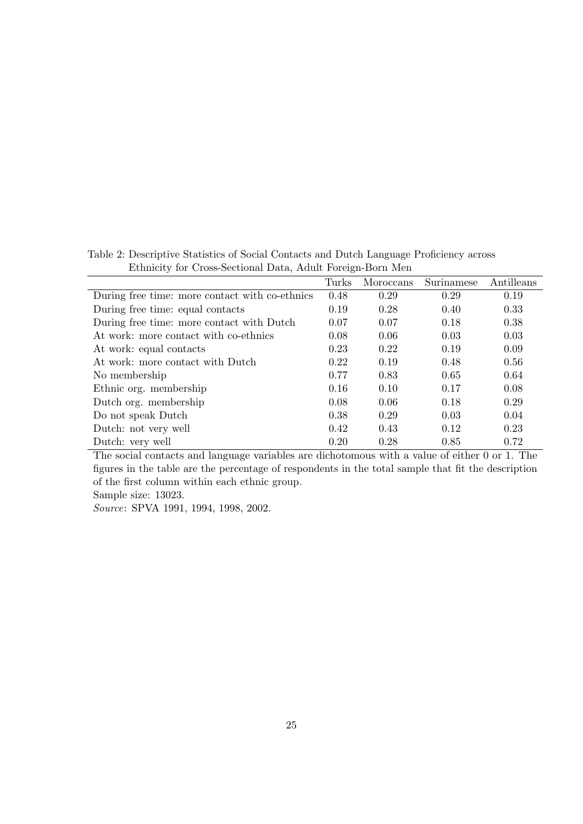<span id="page-25-0"></span>Table 2: Descriptive Statistics of Social Contacts and Dutch Language Proficiency across Ethnicity for Cross-Sectional Data, Adult Foreign-Born Men Turks Moroccans Surinamese Antilleans  $\overline{a}$ 

| During free time: more contact with co-ethnics | 0.48 | 0.29 | 0.29 | 0.19 |
|------------------------------------------------|------|------|------|------|
| During free time: equal contacts               | 0.19 | 0.28 | 0.40 | 0.33 |
| During free time: more contact with Dutch      | 0.07 | 0.07 | 0.18 | 0.38 |
| At work: more contact with co-ethnics          | 0.08 | 0.06 | 0.03 | 0.03 |
| At work: equal contacts                        | 0.23 | 0.22 | 0.19 | 0.09 |
| At work: more contact with Dutch               | 0.22 | 0.19 | 0.48 | 0.56 |
| No membership                                  | 0.77 | 0.83 | 0.65 | 0.64 |
| Ethnic org. membership                         | 0.16 | 0.10 | 0.17 | 0.08 |
| Dutch org. membership                          | 0.08 | 0.06 | 0.18 | 0.29 |
| Do not speak Dutch                             | 0.38 | 0.29 | 0.03 | 0.04 |
| Dutch: not very well                           | 0.42 | 0.43 | 0.12 | 0.23 |
| Dutch: very well                               | 0.20 | 0.28 | 0.85 | 0.72 |

The social contacts and language variables are dichotomous with a value of either 0 or 1. The figures in the table are the percentage of respondents in the total sample that fit the description of the first column within each ethnic group.

Sample size: 13023.

Source: SPVA 1991, 1994, 1998, 2002.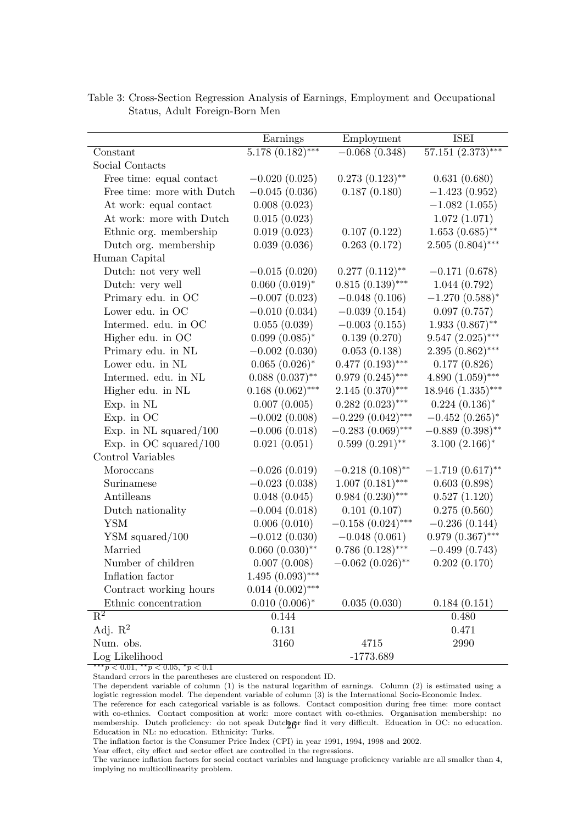|                            | Earnings            | Employment          | <b>ISEI</b>         |
|----------------------------|---------------------|---------------------|---------------------|
| Constant                   | $5.178(0.182)$ ***  | $-0.068(0.348)$     | $57.151(2.373)***$  |
| Social Contacts            |                     |                     |                     |
| Free time: equal contact   | $-0.020(0.025)$     | $0.273(0.123)$ **   | 0.631(0.680)        |
| Free time: more with Dutch | $-0.045(0.036)$     | 0.187(0.180)        | $-1.423(0.952)$     |
| At work: equal contact     | 0.008(0.023)        |                     | $-1.082(1.055)$     |
| At work: more with Dutch   | 0.015(0.023)        |                     | 1.072(1.071)        |
| Ethnic org. membership     | 0.019(0.023)        | 0.107(0.122)        | $1.653(0.685)$ **   |
| Dutch org. membership      | 0.039(0.036)        | 0.263(0.172)        | $2.505(0.804)$ ***  |
| Human Capital              |                     |                     |                     |
| Dutch: not very well       | $-0.015(0.020)$     | $0.277(0.112)$ **   | $-0.171(0.678)$     |
| Dutch: very well           | $0.060~(0.019)^*$   | $0.815(0.139)$ ***  | 1.044(0.792)        |
| Primary edu. in OC         | $-0.007(0.023)$     | $-0.048(0.106)$     | $-1.270(0.588)$ *   |
| Lower edu. in OC           | $-0.010(0.034)$     | $-0.039(0.154)$     | 0.097(0.757)        |
| Intermed. edu. in OC       | 0.055(0.039)        | $-0.003(0.155)$     | $1.933(0.867)$ **   |
| Higher edu. in OC          | $0.099(0.085)^*$    | 0.139(0.270)        | $9.547(2.025)$ ***  |
| Primary edu. in NL         | $-0.002(0.030)$     | 0.053(0.138)        | $2.395(0.862)$ ***  |
| Lower edu. in NL           | $0.065~(0.026)^*$   | $0.477(0.193)$ ***  | 0.177(0.826)        |
| Intermed. edu. in NL       | $0.088~(0.037)$ **  | $0.979(0.245)$ ***  | $4.890(1.059)$ ***  |
| Higher edu. in NL          | $0.168~(0.062)$ *** | $2.145(0.370)$ ***  | $18.946(1.335)$ *** |
| Exp. in NL                 | 0.007(0.005)        | $0.282(0.023)$ ***  | $0.224~(0.136)^*$   |
| Exp. in OC                 | $-0.002(0.008)$     | $-0.229(0.042)$ *** | $-0.452(0.265)^{*}$ |
| Exp. in $NL$ squared/100   | $-0.006(0.018)$     | $-0.283(0.069)$ *** | $-0.889(0.398)$ **  |
| Exp. in OC squared/ $100$  | 0.021(0.051)        | $0.599(0.291)$ **   | $3.100(2.166)$ *    |
| Control Variables          |                     |                     |                     |
| Moroccans                  | $-0.026(0.019)$     | $-0.218(0.108)$ **  | $-1.719(0.617)$ **  |
| Surinamese                 | $-0.023(0.038)$     | $1.007(0.181)$ ***  | 0.603(0.898)        |
| Antilleans                 | 0.048(0.045)        | $0.984(0.230)$ ***  | 0.527(1.120)        |
| Dutch nationality          | $-0.004(0.018)$     | 0.101(0.107)        | 0.275(0.560)        |
| <b>YSM</b>                 | 0.006(0.010)        | $-0.158(0.024)$ *** | $-0.236(0.144)$     |
| $YSM$ squared/100          | $-0.012(0.030)$     | $-0.048(0.061)$     | $0.979(0.367)$ ***  |
| Married                    | $0.060~(0.030)$ **  | $0.786(0.128)$ ***  | $-0.499(0.743)$     |
| Number of children         | 0.007(0.008)        | $-0.062(0.026)$ **  | 0.202(0.170)        |
| Inflation factor           | $1.495(0.093)$ ***  |                     |                     |
| Contract working hours     | $0.014~(0.002)$ *** |                     |                     |
| Ethnic concentration       | $0.010~(0.006)*$    | 0.035(0.030)        | 0.184(0.151)        |
| $\overline{\mathrm{R}^2}$  | 0.144               |                     | $0.480\,$           |
| Adj. $R^2$                 | 0.131               |                     | 0.471               |
| Num. obs.                  | 3160                | 4715                | 2990                |
| Log Likelihood             |                     | $-1773.689$         |                     |

<span id="page-26-0"></span>Table 3: Cross-Section Regression Analysis of Earnings, Employment and Occupational Status, Adult Foreign-Born Men

 $*** p < 0.01, ** p < 0.05, * p < 0.1$ 

Standard errors in the parentheses are clustered on respondent ID.

The dependent variable of column (1) is the natural logarithm of earnings. Column (2) is estimated using a logistic regression model. The dependent variable of column (3) is the International Socio-Economic Index. The reference for each categorical variable is as follows. Contact composition during free time: more contact with co-ethnics. Contact composition at work: more contact with co-ethnics. Organisation membership: no membership. Dutch proficiency: do not speak Dutch or find it very difficult. Education in OC: no education. Education in NL: no education. Ethnicity: Turks.

The inflation factor is the Consumer Price Index (CPI) in year 1991, 1994, 1998 and 2002.

Year effect, city effect and sector effect are controlled in the regressions.

The variance inflation factors for social contact variables and language proficiency variable are all smaller than 4, implying no multicollinearity problem.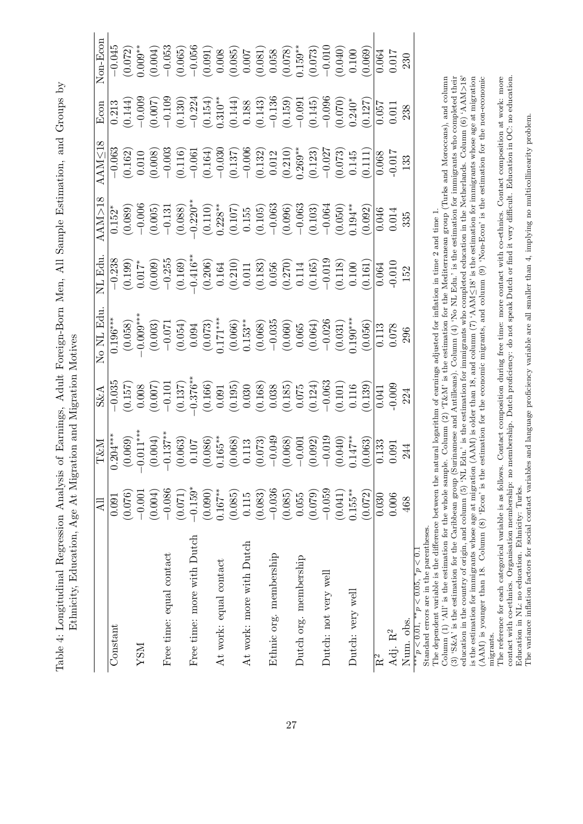Table 4: Longitudinal Regression Analysis of Earnings, Adult Foreign-Born Men, All Sample Estimation, and Groups by Table 4: Longitudinal Regression Analysis of Earnings, Adult Foreign-Born Men, All Sample Estimation, and Groups by Ethnicity, Education, Age At Migration and Migration Motives Ethnicity, Education, Age At Migration and Migration Motives

<span id="page-27-0"></span>

|                            | All        | T&N                                                                                                                                                                                                                                                                                                                                                 | $S\&A$                                                                                                                                                                                                                                                                                                                           | No NL Ed                                                                                                                                                                                                                                                                                          | NL Edu                                                                                                                                                                                                                                                                                                                         | AM>1                                                                                                                                                                                                                                                                                                                   | AAMS                                                                                                                                                                                                                                                                                               | Ecor                                                                                                                                                                                                                                                                                                                   | $\sqrt{on-Eco}$                                                                                                                                                                                                                                                                                                            |
|----------------------------|------------|-----------------------------------------------------------------------------------------------------------------------------------------------------------------------------------------------------------------------------------------------------------------------------------------------------------------------------------------------------|----------------------------------------------------------------------------------------------------------------------------------------------------------------------------------------------------------------------------------------------------------------------------------------------------------------------------------|---------------------------------------------------------------------------------------------------------------------------------------------------------------------------------------------------------------------------------------------------------------------------------------------------|--------------------------------------------------------------------------------------------------------------------------------------------------------------------------------------------------------------------------------------------------------------------------------------------------------------------------------|------------------------------------------------------------------------------------------------------------------------------------------------------------------------------------------------------------------------------------------------------------------------------------------------------------------------|----------------------------------------------------------------------------------------------------------------------------------------------------------------------------------------------------------------------------------------------------------------------------------------------------|------------------------------------------------------------------------------------------------------------------------------------------------------------------------------------------------------------------------------------------------------------------------------------------------------------------------|----------------------------------------------------------------------------------------------------------------------------------------------------------------------------------------------------------------------------------------------------------------------------------------------------------------------------|
| $\rm Constant$             | 0.091      | $0.204***$                                                                                                                                                                                                                                                                                                                                          |                                                                                                                                                                                                                                                                                                                                  |                                                                                                                                                                                                                                                                                                   |                                                                                                                                                                                                                                                                                                                                |                                                                                                                                                                                                                                                                                                                        |                                                                                                                                                                                                                                                                                                    |                                                                                                                                                                                                                                                                                                                        |                                                                                                                                                                                                                                                                                                                            |
|                            | (0.076)    |                                                                                                                                                                                                                                                                                                                                                     |                                                                                                                                                                                                                                                                                                                                  |                                                                                                                                                                                                                                                                                                   |                                                                                                                                                                                                                                                                                                                                |                                                                                                                                                                                                                                                                                                                        |                                                                                                                                                                                                                                                                                                    |                                                                                                                                                                                                                                                                                                                        |                                                                                                                                                                                                                                                                                                                            |
| NSN                        | $-0.001$   |                                                                                                                                                                                                                                                                                                                                                     |                                                                                                                                                                                                                                                                                                                                  |                                                                                                                                                                                                                                                                                                   |                                                                                                                                                                                                                                                                                                                                |                                                                                                                                                                                                                                                                                                                        |                                                                                                                                                                                                                                                                                                    |                                                                                                                                                                                                                                                                                                                        |                                                                                                                                                                                                                                                                                                                            |
|                            | (0.004)    | $\begin{array}{c} (0.069) \\ (-0.011^{**}) \\ (-0.004) \\ (-0.063) \\ (-0.063) \\ (-0.063) \\ (-0.063) \\ (-0.068) \\ (-0.068) \\ (-0.068) \\ (-0.068) \\ (-0.063) \\ (-0.063) \\ (-0.011) \\ (-0.012) \\ (-0.010) \\ (-0.010) \\ (-0.010) \\ (-0.010) \\ (-0.010) \\ (-0.010) \\ (-0.010) \\ (-0.010) \\ (-0.010) \\ (-0.010) \\ (-0.010) \\ (-0.$ |                                                                                                                                                                                                                                                                                                                                  |                                                                                                                                                                                                                                                                                                   |                                                                                                                                                                                                                                                                                                                                |                                                                                                                                                                                                                                                                                                                        |                                                                                                                                                                                                                                                                                                    |                                                                                                                                                                                                                                                                                                                        |                                                                                                                                                                                                                                                                                                                            |
| Free time: equal contact   | $-0.086$   |                                                                                                                                                                                                                                                                                                                                                     |                                                                                                                                                                                                                                                                                                                                  |                                                                                                                                                                                                                                                                                                   |                                                                                                                                                                                                                                                                                                                                |                                                                                                                                                                                                                                                                                                                        |                                                                                                                                                                                                                                                                                                    |                                                                                                                                                                                                                                                                                                                        |                                                                                                                                                                                                                                                                                                                            |
|                            | (0.071)    |                                                                                                                                                                                                                                                                                                                                                     |                                                                                                                                                                                                                                                                                                                                  |                                                                                                                                                                                                                                                                                                   |                                                                                                                                                                                                                                                                                                                                |                                                                                                                                                                                                                                                                                                                        |                                                                                                                                                                                                                                                                                                    |                                                                                                                                                                                                                                                                                                                        |                                                                                                                                                                                                                                                                                                                            |
| Free time: more with Dutch | $-0.159*$  |                                                                                                                                                                                                                                                                                                                                                     |                                                                                                                                                                                                                                                                                                                                  |                                                                                                                                                                                                                                                                                                   |                                                                                                                                                                                                                                                                                                                                |                                                                                                                                                                                                                                                                                                                        |                                                                                                                                                                                                                                                                                                    |                                                                                                                                                                                                                                                                                                                        |                                                                                                                                                                                                                                                                                                                            |
|                            | (0.090)    |                                                                                                                                                                                                                                                                                                                                                     |                                                                                                                                                                                                                                                                                                                                  |                                                                                                                                                                                                                                                                                                   |                                                                                                                                                                                                                                                                                                                                |                                                                                                                                                                                                                                                                                                                        |                                                                                                                                                                                                                                                                                                    |                                                                                                                                                                                                                                                                                                                        |                                                                                                                                                                                                                                                                                                                            |
| At work: equal contact     | $0.167***$ |                                                                                                                                                                                                                                                                                                                                                     |                                                                                                                                                                                                                                                                                                                                  |                                                                                                                                                                                                                                                                                                   |                                                                                                                                                                                                                                                                                                                                |                                                                                                                                                                                                                                                                                                                        |                                                                                                                                                                                                                                                                                                    |                                                                                                                                                                                                                                                                                                                        |                                                                                                                                                                                                                                                                                                                            |
|                            | (0.085)    |                                                                                                                                                                                                                                                                                                                                                     |                                                                                                                                                                                                                                                                                                                                  |                                                                                                                                                                                                                                                                                                   |                                                                                                                                                                                                                                                                                                                                |                                                                                                                                                                                                                                                                                                                        |                                                                                                                                                                                                                                                                                                    |                                                                                                                                                                                                                                                                                                                        |                                                                                                                                                                                                                                                                                                                            |
| At work: more with Dutch   | 0.115      |                                                                                                                                                                                                                                                                                                                                                     |                                                                                                                                                                                                                                                                                                                                  |                                                                                                                                                                                                                                                                                                   |                                                                                                                                                                                                                                                                                                                                |                                                                                                                                                                                                                                                                                                                        |                                                                                                                                                                                                                                                                                                    |                                                                                                                                                                                                                                                                                                                        |                                                                                                                                                                                                                                                                                                                            |
|                            | (0.083)    |                                                                                                                                                                                                                                                                                                                                                     |                                                                                                                                                                                                                                                                                                                                  |                                                                                                                                                                                                                                                                                                   |                                                                                                                                                                                                                                                                                                                                |                                                                                                                                                                                                                                                                                                                        |                                                                                                                                                                                                                                                                                                    |                                                                                                                                                                                                                                                                                                                        |                                                                                                                                                                                                                                                                                                                            |
| Ethnic org. membership     | $-0.036$   |                                                                                                                                                                                                                                                                                                                                                     |                                                                                                                                                                                                                                                                                                                                  |                                                                                                                                                                                                                                                                                                   |                                                                                                                                                                                                                                                                                                                                |                                                                                                                                                                                                                                                                                                                        |                                                                                                                                                                                                                                                                                                    |                                                                                                                                                                                                                                                                                                                        |                                                                                                                                                                                                                                                                                                                            |
|                            | (0.085)    |                                                                                                                                                                                                                                                                                                                                                     |                                                                                                                                                                                                                                                                                                                                  |                                                                                                                                                                                                                                                                                                   |                                                                                                                                                                                                                                                                                                                                |                                                                                                                                                                                                                                                                                                                        |                                                                                                                                                                                                                                                                                                    |                                                                                                                                                                                                                                                                                                                        |                                                                                                                                                                                                                                                                                                                            |
| Dutch org. membership      | 0.055      |                                                                                                                                                                                                                                                                                                                                                     |                                                                                                                                                                                                                                                                                                                                  |                                                                                                                                                                                                                                                                                                   |                                                                                                                                                                                                                                                                                                                                |                                                                                                                                                                                                                                                                                                                        |                                                                                                                                                                                                                                                                                                    |                                                                                                                                                                                                                                                                                                                        |                                                                                                                                                                                                                                                                                                                            |
|                            | (0.079)    |                                                                                                                                                                                                                                                                                                                                                     |                                                                                                                                                                                                                                                                                                                                  |                                                                                                                                                                                                                                                                                                   |                                                                                                                                                                                                                                                                                                                                |                                                                                                                                                                                                                                                                                                                        |                                                                                                                                                                                                                                                                                                    |                                                                                                                                                                                                                                                                                                                        |                                                                                                                                                                                                                                                                                                                            |
| Dutch: not very well       | $-0.059$   |                                                                                                                                                                                                                                                                                                                                                     |                                                                                                                                                                                                                                                                                                                                  |                                                                                                                                                                                                                                                                                                   |                                                                                                                                                                                                                                                                                                                                |                                                                                                                                                                                                                                                                                                                        |                                                                                                                                                                                                                                                                                                    |                                                                                                                                                                                                                                                                                                                        |                                                                                                                                                                                                                                                                                                                            |
|                            | (0.041)    |                                                                                                                                                                                                                                                                                                                                                     |                                                                                                                                                                                                                                                                                                                                  |                                                                                                                                                                                                                                                                                                   |                                                                                                                                                                                                                                                                                                                                |                                                                                                                                                                                                                                                                                                                        |                                                                                                                                                                                                                                                                                                    |                                                                                                                                                                                                                                                                                                                        |                                                                                                                                                                                                                                                                                                                            |
| Dutch: very well           | $0.155**$  |                                                                                                                                                                                                                                                                                                                                                     |                                                                                                                                                                                                                                                                                                                                  |                                                                                                                                                                                                                                                                                                   |                                                                                                                                                                                                                                                                                                                                |                                                                                                                                                                                                                                                                                                                        |                                                                                                                                                                                                                                                                                                    |                                                                                                                                                                                                                                                                                                                        |                                                                                                                                                                                                                                                                                                                            |
|                            | (0.072)    |                                                                                                                                                                                                                                                                                                                                                     | $\begin{array}{r} -0.035 \\ -0.157 \\ 0.008 \\ -0.1157 \\ -0.1101 \\ -0.1376 \\ -0.005 \\ -0.005 \\ -0.005 \\ -0.005 \\ -0.005 \\ -0.005 \\ -0.005 \\ -0.005 \\ -0.005 \\ -0.005 \\ -0.005 \\ -0.005 \\ -0.005 \\ -0.009 \\ -0.009 \\ -0.009 \\ -0.003 \\ -0.009 \\ -0.003 \\ -0.009 \\ -0.003 \\ -0.003 \\ -0.003 \\ -0.003 \\$ | $\begin{array}{r} \text{(1.196)}\\ (0.1058)\\ (0.003)\\ (0.003)\\ (0.004)\\ (0.0054)\\ (0.007)\\ (0.007)\\ (0.007)\\ (0.006)\\ (0.008)\\ (0.005)\\ (0.005)\\ (0.005)\\ (0.005)\\ (0.005)\\ (0.005)\\ (0.007)\\ (0.008)\\ (0.007)\\ (0.008)\\ (0.007)\\ (0.008)\\ (0.007)\\ (0.008)\\ (0.007)\\ ($ | $\begin{array}{r} -0.238 \\ -0.199) \\ 0.017^* \\ -0.255 \\ -0.255 \\ -0.256 \\ -0.169) \\ -0.210 \\ -0.169 \\ -0.210 \\ -0.111 \\ -0.011 \\ -0.011 \\ -0.011 \\ -0.010 \\ -0.010 \\ -0.010 \\ -0.010 \\ -0.010 \\ -0.010 \\ -0.010 \\ -0.010 \\ -0.010 \\ -0.010 \\ -0.010 \\ -0.010 \\ -0.010 \\ -0.010 \\ -0.010 \\ -0.010$ | $\begin{array}{r} (0.152^* \\ (0.089) \\ (0.005) \\ (0.005) \\ (0.110) \\ (0.110) \\ (0.110) \\ (0.110) \\ (0.105) \\ (0.107) \\ (0.105) \\ (0.063) \\ (0.063) \\ (0.060) \\ (0.061) \\ (0.060) \\ (0.061) \\ (0.061) \\ (0.062) \\ (0.061) \\ (0.062) \\ (0.063) \\ (0.064) \\ (0.061) \\ (0.062) \\ (0.063) \\ (0.0$ | $\begin{array}{r} -0.063\\ -0.0162\\ -0.008\\ 0.008\\ -0.003\\ 0.003\\ -0.003\\ -0.003\\ -0.004\\ -0.006\\ -0.006\\ -0.006\\ -0.006\\ -0.004\\ -0.004\\ -0.004\\ -0.004\\ -0.004\\ -0.004\\ -0.004\\ -0.011\\ -0.013\\ -0.017\\ -0.013\\ -0.017\\ -0.017\\ -0.017\\ -0.017\\ -0.017\\ -0.017\\ -0$ | $\begin{array}{l} 0.213 \\[-4.0ex] 0.144) \\[-4.0ex] -0.0067 \\[-4.0ex] -0.130 \\[-4.0ex] -0.130 \\[-4.0ex] -0.130 \\[-4.0ex] -0.130 \\[-4.0ex] -0.130 \\[-4.0ex] -0.130 \\[-4.0ex] -0.130 \\[-4.0ex] -0.096 \\[-4.0ex] -0.096 \\[-4.0ex] -0.096 \\[-4.0ex] -0.096 \\[-4.0ex] -0.096 \\[-4.0ex] -0.096 \\[-4.0ex] -0.$ | $\begin{array}{r} -0.045 \\ -0.072) \\ 0.009^{**} \\ -0.053 \\ -0.056 \\ -0.056 \\ 0.004) \\ 0.005 \\ -0.056 \\ 0.008 \\ 0.007 \\ -0.008 \\ 0.007 \\ -0.008 \\ 0.007 \\ -0.009 \\ -0.000 \\ -0.000 \\ -0.000 \\ -0.000 \\ -0.000 \\ -0.000 \\ -0.000 \\ -0.000 \\ -0.000 \\ -0.000 \\ -0.000 \\ -0.000 \\ -0.000 \\ -0.00$ |
| $\rm R^2$                  | 0.030      | $\frac{0.133}{0.091}$                                                                                                                                                                                                                                                                                                                               |                                                                                                                                                                                                                                                                                                                                  |                                                                                                                                                                                                                                                                                                   |                                                                                                                                                                                                                                                                                                                                |                                                                                                                                                                                                                                                                                                                        |                                                                                                                                                                                                                                                                                                    |                                                                                                                                                                                                                                                                                                                        |                                                                                                                                                                                                                                                                                                                            |
| Adj. R <sup>2</sup>        | 0.006      |                                                                                                                                                                                                                                                                                                                                                     |                                                                                                                                                                                                                                                                                                                                  |                                                                                                                                                                                                                                                                                                   |                                                                                                                                                                                                                                                                                                                                |                                                                                                                                                                                                                                                                                                                        |                                                                                                                                                                                                                                                                                                    |                                                                                                                                                                                                                                                                                                                        |                                                                                                                                                                                                                                                                                                                            |
| Num. obs.                  | 468        | 244                                                                                                                                                                                                                                                                                                                                                 |                                                                                                                                                                                                                                                                                                                                  |                                                                                                                                                                                                                                                                                                   |                                                                                                                                                                                                                                                                                                                                |                                                                                                                                                                                                                                                                                                                        |                                                                                                                                                                                                                                                                                                    |                                                                                                                                                                                                                                                                                                                        |                                                                                                                                                                                                                                                                                                                            |
| $> u$ ***                  |            |                                                                                                                                                                                                                                                                                                                                                     |                                                                                                                                                                                                                                                                                                                                  |                                                                                                                                                                                                                                                                                                   |                                                                                                                                                                                                                                                                                                                                |                                                                                                                                                                                                                                                                                                                        |                                                                                                                                                                                                                                                                                                    |                                                                                                                                                                                                                                                                                                                        |                                                                                                                                                                                                                                                                                                                            |

 $p < 0.01$ ,  $p < 0.03$ ,  $p < 0.1$ <br>Standard errors are in the parentheses. Standard errors are in the parentheses. ∗∗∗*p <* 0*.*01, ∗∗*p <* 0*.*05, ∗*p <* 0*.*1

The dependent variable is the difference between the natural logarithm of earnings adjusted for inflation in time 2 and time 1. The dependent variable is the difference between the natural logarithm of earnings adjusted for inflation in time 2 and time 1.

(3) 'S&A' is the estimation for the Caribbean group (Surinamese and Antilleans). Column (4) 'No NL Edu.' is the estimation for immigrants who completed their education in the country of origin, and column (5) 'NL Edu.' is Column  $(1)$  'All' is the estimation for the whole sample. Column  $(2)$  'T&N' is the estimation for the Mediterranean group (Turks and Moroccans), and column is the estimation for immigrants whose age at migration (AAM) is older than 18, and column (7) 'AAM<18' is the estimation for immigrants whose age at migration (AAM) is younger than 18. Column (8) 'Econ' is the estimation education in the country of origin, and column (5) 'NL Edu.' is the estimation for immigrants who completed education in the Netherlands. Column (6) 'AAM>18' Column (1) 'All' is the estimation for the whole sample. Column (2) 'T&M' is the estimation for the Mediterranean group (Turks and Moroccans), and column (3) 'S&A' is the estimation for the Caribbean group (Surinamese and Antilleans). Column (4) 'No NL Edu.' is the estimation for immigrants who completed their is the estimation for immigrants whose age at migration (AAM) is older than 18, and column (7) 'AAM≤18' is the estimation for immigrants whose age at migration (AAM) is younger than 18. Column (8) 'Econ' is the estimation for the economic migrants, and column (9) 'Non-Econ' is the estimation for the non-economic

migrants.<br>The reference for each categorical variable is as follows. Contact composition during free time: more contact with co-ethnics. Contact composition at work: more<br>contact with co-ethnics. Organisation membership: n contact with co-ethnics. Organisation membership: no membership. Dutch proficiency: do not speak Dutch or find it very difficult. Education in OC: no education. The reference for each categorical variable is as follows. Contact composition during free time: more contact with co-ethnics. Contact composition at work: more Education in NL: no education. Ethnicity: Turks. Education in NL: no education. Ethnicity: Turks.

The variance inflation factors for social contact variables and language proficiency variable are all smaller than  $4$ , implying no multicollinearity problem. The variance inflation factors for social contact variables and language proficiency variable are all smaller than 4, implying no multicollinearity problem.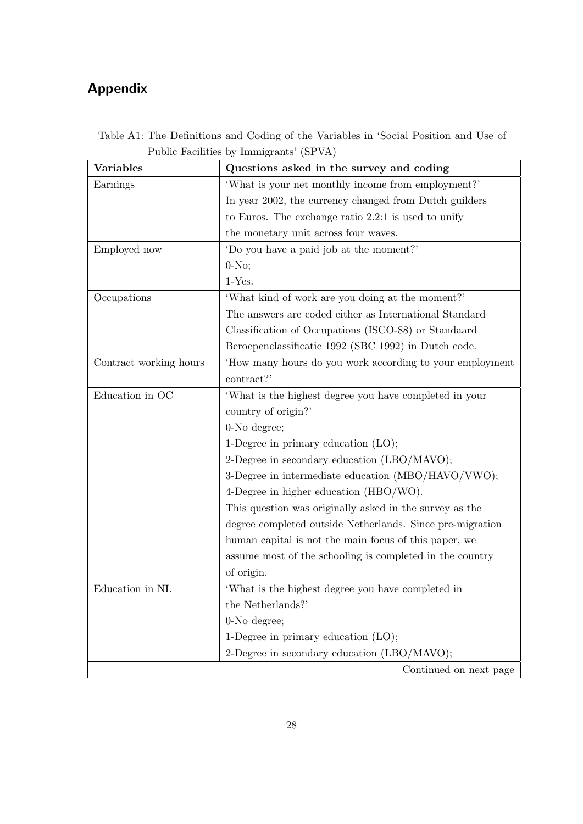# Appendix

| <b>Variables</b>       | Questions asked in the survey and coding                  |
|------------------------|-----------------------------------------------------------|
| Earnings               | 'What is your net monthly income from employment?'        |
|                        | In year 2002, the currency changed from Dutch guilders    |
|                        | to Euros. The exchange ratio $2.2:1$ is used to unify     |
|                        | the monetary unit across four waves.                      |
| Employed now           | 'Do you have a paid job at the moment?'                   |
|                        | $0-NO$ ;                                                  |
|                        | $1-Yes.$                                                  |
| Occupations            | 'What kind of work are you doing at the moment?'          |
|                        | The answers are coded either as International Standard    |
|                        | Classification of Occupations (ISCO-88) or Standaard      |
|                        | Beroepenclassificatie 1992 (SBC 1992) in Dutch code.      |
| Contract working hours | How many hours do you work according to your employment   |
|                        | contract?'                                                |
| Education in OC        | 'What is the highest degree you have completed in your    |
|                        | country of origin?'                                       |
|                        | 0-No degree;                                              |
|                        | 1-Degree in primary education $(LO)$ ;                    |
|                        | 2-Degree in secondary education (LBO/MAVO);               |
|                        | 3-Degree in intermediate education (MBO/HAVO/VWO);        |
|                        | 4-Degree in higher education (HBO/WO).                    |
|                        | This question was originally asked in the survey as the   |
|                        | degree completed outside Netherlands. Since pre-migration |
|                        | human capital is not the main focus of this paper, we     |
|                        | assume most of the schooling is completed in the country  |
|                        | of origin.                                                |
| Education in $\rm NL$  | 'What is the highest degree you have completed in         |
|                        | the Netherlands?'                                         |
|                        | 0-No degree;                                              |
|                        | 1-Degree in primary education $(LO)$ ;                    |
|                        | 2-Degree in secondary education (LBO/MAVO);               |
|                        | Continued on next page                                    |

Table A1: The Definitions and Coding of the Variables in 'Social Position and Use of Public Facilities by Immigrants' (SPVA)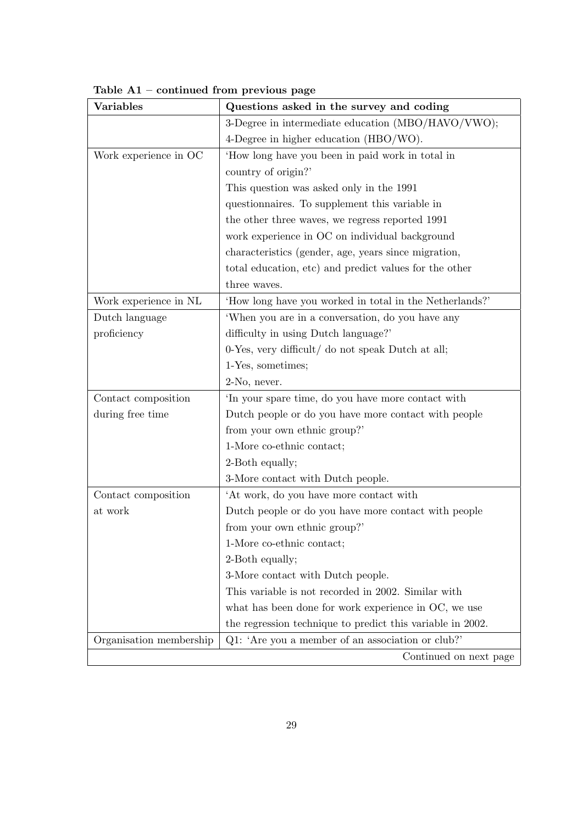| Variables               | Questions asked in the survey and coding                   |
|-------------------------|------------------------------------------------------------|
|                         | 3-Degree in intermediate education (MBO/HAVO/VWO);         |
|                         | 4-Degree in higher education (HBO/WO).                     |
| Work experience in OC   | 'How long have you been in paid work in total in           |
|                         | country of origin?'                                        |
|                         | This question was asked only in the 1991                   |
|                         | questionnaires. To supplement this variable in             |
|                         | the other three waves, we regress reported 1991            |
|                         | work experience in OC on individual background             |
|                         | characteristics (gender, age, years since migration,       |
|                         | total education, etc) and predict values for the other     |
|                         | three waves.                                               |
| Work experience in NL   | 'How long have you worked in total in the Netherlands?'    |
| Dutch language          | 'When you are in a conversation, do you have any           |
| proficiency             | difficulty in using Dutch language?                        |
|                         | 0-Yes, very difficult/ do not speak Dutch at all;          |
|                         | 1-Yes, sometimes;                                          |
|                         | 2-No, never.                                               |
| Contact composition     | 'In your spare time, do you have more contact with         |
| during free time        | Dutch people or do you have more contact with people       |
|                         | from your own ethnic group?'                               |
|                         | 1-More co-ethnic contact;                                  |
|                         | 2-Both equally;                                            |
|                         | 3-More contact with Dutch people.                          |
| Contact composition     | 'At work, do you have more contact with                    |
| at work                 | Dutch people or do you have more contact with people       |
|                         | from your own ethnic group?'                               |
|                         | 1-More co-ethnic contact;                                  |
|                         | 2-Both equally;                                            |
|                         | 3-More contact with Dutch people.                          |
|                         | This variable is not recorded in 2002. Similar with        |
|                         | what has been done for work experience in OC, we use       |
|                         | the regression technique to predict this variable in 2002. |
| Organisation membership | Q1: 'Are you a member of an association or club?'          |
|                         | Continued on next page                                     |

Table A1 – continued from previous page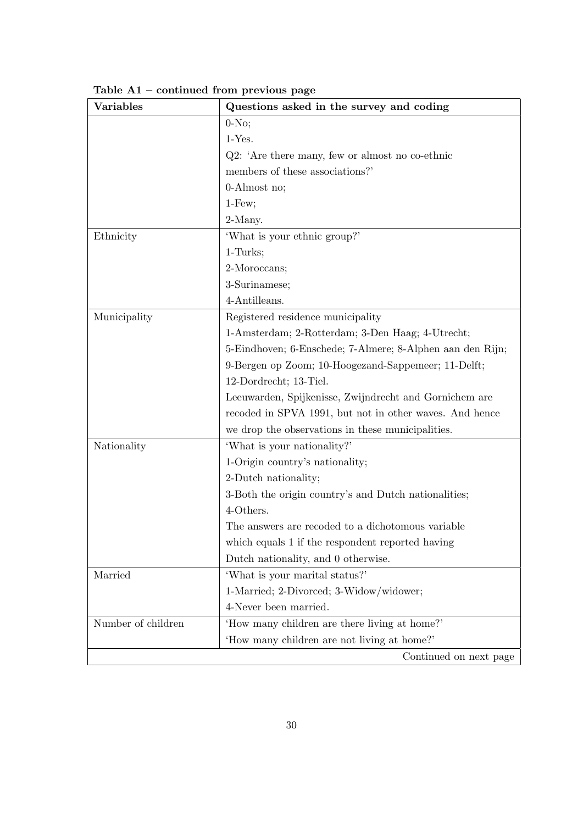| <b>Variables</b>   | Questions asked in the survey and coding                  |
|--------------------|-----------------------------------------------------------|
|                    | $0-NO$                                                    |
|                    | $1-Yes.$                                                  |
|                    | $Q2:$ 'Are there many, few or almost no co-ethnic         |
|                    | members of these associations?'                           |
|                    | $0$ -Almost no;                                           |
|                    | $1$ -Few;                                                 |
|                    | 2-Many.                                                   |
| Ethnicity          | 'What is your ethnic group?'                              |
|                    | $1-Turks;$                                                |
|                    | 2-Moroccans;                                              |
|                    | 3-Surinamese;                                             |
|                    | 4-Antilleans.                                             |
| Municipality       | Registered residence municipality                         |
|                    | 1-Amsterdam; 2-Rotterdam; 3-Den Haag; 4-Utrecht;          |
|                    | 5-Eindhoven; 6-Enschede; 7-Almere; 8-Alphen aan den Rijn; |
|                    | 9-Bergen op Zoom; 10-Hoogezand-Sappemeer; 11-Delft;       |
|                    | 12-Dordrecht; 13-Tiel.                                    |
|                    | Leeuwarden, Spijkenisse, Zwijndrecht and Gornichem are    |
|                    | recoded in SPVA 1991, but not in other waves. And hence   |
|                    | we drop the observations in these municipalities.         |
| Nationality        | 'What is your nationality?'                               |
|                    | 1-Origin country's nationality;                           |
|                    | 2-Dutch nationality;                                      |
|                    | 3-Both the origin country's and Dutch nationalities;      |
|                    | 4-Others.                                                 |
|                    | The answers are recoded to a dichotomous variable         |
|                    | which equals 1 if the respondent reported having          |
|                    | Dutch nationality, and 0 otherwise.                       |
| Married            | 'What is your marital status?'                            |
|                    | 1-Married; 2-Divorced; 3-Widow/widower;                   |
|                    | 4-Never been married.                                     |
| Number of children | 'How many children are there living at home?'             |
|                    | 'How many children are not living at home?'               |
|                    | Continued on next page                                    |

Table A1 – continued from previous page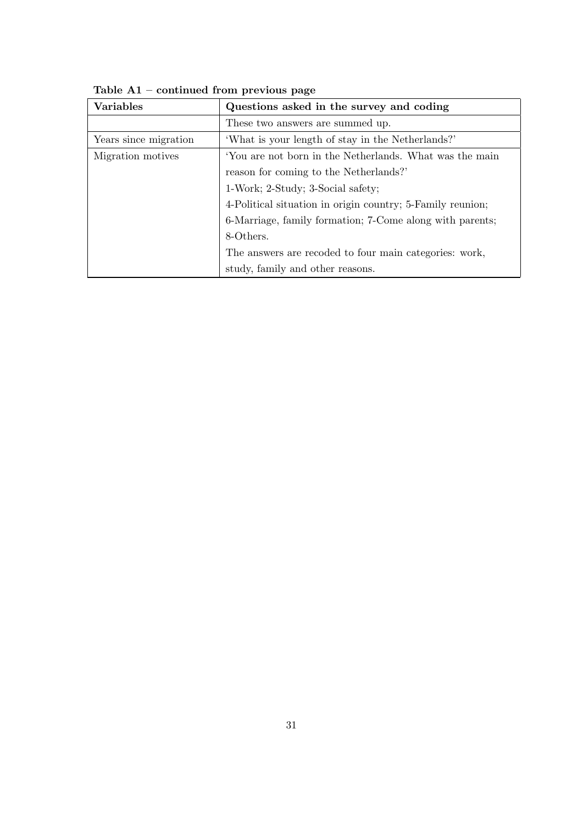| <b>Variables</b>      | Questions asked in the survey and coding                   |  |  |  |  |  |
|-----------------------|------------------------------------------------------------|--|--|--|--|--|
|                       | These two answers are summed up.                           |  |  |  |  |  |
| Years since migration | 'What is your length of stay in the Netherlands?'          |  |  |  |  |  |
| Migration motives     | 'You are not born in the Netherlands. What was the main    |  |  |  |  |  |
|                       | reason for coming to the Netherlands?                      |  |  |  |  |  |
|                       | 1-Work; 2-Study; 3-Social safety;                          |  |  |  |  |  |
|                       | 4-Political situation in origin country; 5-Family reunion; |  |  |  |  |  |
|                       | 6-Marriage, family formation; 7-Come along with parents;   |  |  |  |  |  |
|                       | 8-Others.                                                  |  |  |  |  |  |
|                       | The answers are recoded to four main categories: work,     |  |  |  |  |  |
|                       | study, family and other reasons.                           |  |  |  |  |  |

Table A1 – continued from previous page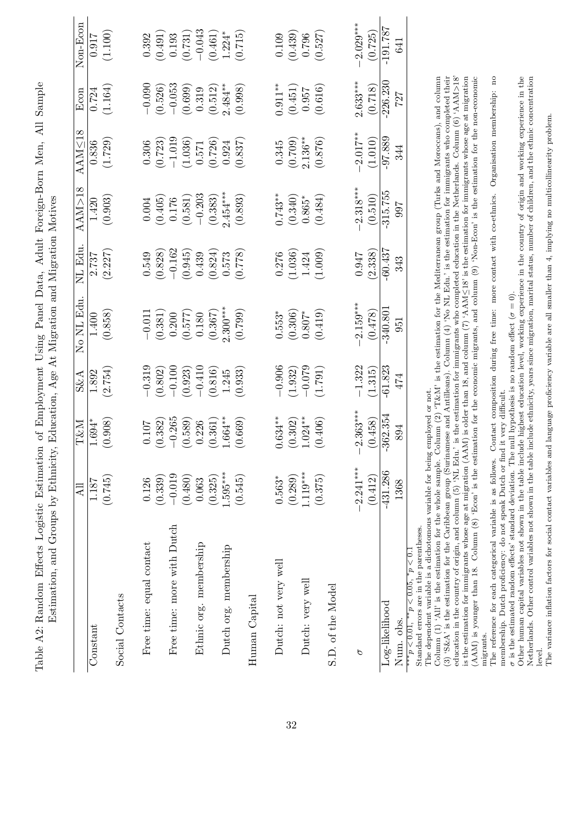|                                                                                                                                                                                                                                                                                                                                       | <b>Z</b>    | T&M             | S&A       | No NL Edu                                                                                                | NL Edu    | $\Lambda \Lambda {\rm M}$ >18 | AAM<18     | Econ       | Non-Econ    |
|---------------------------------------------------------------------------------------------------------------------------------------------------------------------------------------------------------------------------------------------------------------------------------------------------------------------------------------|-------------|-----------------|-----------|----------------------------------------------------------------------------------------------------------|-----------|-------------------------------|------------|------------|-------------|
| Constant                                                                                                                                                                                                                                                                                                                              | 1.187       | $1.694*$        | 1.892     | $1.400\,$                                                                                                | 2.737     | 1.420                         | 0.836      | 0.724      | 716.0       |
|                                                                                                                                                                                                                                                                                                                                       | (0.745)     | (0.908)         | (2.754)   | (0.858)                                                                                                  | (2.227)   | (0.903)                       | (1.729)    | (1.164)    | (1.100)     |
| Social Contacts                                                                                                                                                                                                                                                                                                                       |             |                 |           |                                                                                                          |           |                               |            |            |             |
| Free time: equal contact                                                                                                                                                                                                                                                                                                              | 0.126       | $0.107\,$       | $-0.319$  | $-0.011$                                                                                                 | 0.549     | 0.004                         | 0.306      | $-0.090$   | 0.392       |
|                                                                                                                                                                                                                                                                                                                                       | (0.339)     | (0.382)         | (0.802)   | (0.381)                                                                                                  | (0.828)   | (0.405)                       | (0.723)    | (0.526)    | (0.491)     |
| Free time: more with Dutch                                                                                                                                                                                                                                                                                                            | $-0.019$    | $-0.265$        | $-0.100$  | 0.200                                                                                                    | $-0.162$  | 0.176                         | $-1.019$   | $-0.053$   | 0.193       |
|                                                                                                                                                                                                                                                                                                                                       | (0.480)     | (0.589)         | (0.923)   | (0.577)                                                                                                  | (0.945)   | (0.581)                       | (1.036)    | (0.699)    | (0.731)     |
| Ethnic org. membership                                                                                                                                                                                                                                                                                                                | 0.063       | 0.226           | $-0.410$  | 0.180                                                                                                    | 0.439     | $-0.203$                      | 0.571      | 0.319      | $-0.043$    |
|                                                                                                                                                                                                                                                                                                                                       | (0.325)     | (0.361)         | (0.816)   | (0.367)                                                                                                  | (0.824)   | (0.383)                       | (0.726)    | (0.512)    | (0.461)     |
| Dutch org. membership                                                                                                                                                                                                                                                                                                                 | $1.595***$  | $1.664***$      | 1.245     | $2.300***$                                                                                               | $0.573\,$ | $2.454***$                    | 0.924      | $2.484***$ | $1.224*$    |
|                                                                                                                                                                                                                                                                                                                                       | (0.545)     | (0.669)         | (0.933)   | (0.799)                                                                                                  | (821.0)   | (0.893)                       | (0.837)    | (0.998)    | (0.715)     |
| Human Capital                                                                                                                                                                                                                                                                                                                         |             |                 |           |                                                                                                          |           |                               |            |            |             |
| Dutch: not very well                                                                                                                                                                                                                                                                                                                  | $0.563*$    | $0.634***$      | $-0.906$  | $0.553*$                                                                                                 | 0.276     | $0.743**$                     | 0.345      | $0.911***$ | 0.109       |
|                                                                                                                                                                                                                                                                                                                                       | (0.289)     | (0.302)         | (1.932)   | (0.306)                                                                                                  | (1.036)   | (0.340)                       | (0.709)    | (0.451)    | (0.439)     |
| Dutch: very well                                                                                                                                                                                                                                                                                                                      | $1.119***$  | $1.024***$      | $-0.079$  | $0.807*$                                                                                                 | 1.424     | $0.865*$                      | $2.136***$ | 0.957      | 0.796       |
|                                                                                                                                                                                                                                                                                                                                       | (0.375)     | (0.406)         | (1.791)   | (0.419)                                                                                                  | (1.009)   | (0.484)                       | (0.876)    | (0.616)    | (0.527)     |
| S.D. of the Model                                                                                                                                                                                                                                                                                                                     |             |                 |           |                                                                                                          |           |                               |            |            |             |
| p                                                                                                                                                                                                                                                                                                                                     | $-2.241***$ | $-2.363***$     | $-1.322$  | $2.159***$                                                                                               | 0.947     | $-2.318***$                   | $-2.017**$ | $2.633***$ | $-2.029***$ |
|                                                                                                                                                                                                                                                                                                                                       | (0.412)     | (0.458)         | (1.315)   | (0.478)                                                                                                  | (2.338)   | (0.510)                       | (1.010)    | (0.718)    | (0.725)     |
| Log-likelihood                                                                                                                                                                                                                                                                                                                        | $-431.286$  | $-362.354$      | $-61.823$ | $-340.801$                                                                                               | $-60.437$ | $-315.755$                    | $-97.889$  | $-226.230$ | $-191.787$  |
| Num. obs.                                                                                                                                                                                                                                                                                                                             | 1368        | 894             | 474       | 951                                                                                                      | 343       | 766                           | 344        | 727        | 641         |
| Standard errors are in the parentheses.<br>***p $< 0.01,$ **p $< 0.05,$ *p $< 0.$                                                                                                                                                                                                                                                     |             |                 |           |                                                                                                          |           |                               |            |            |             |
| The dependent variable is a dichotomous variable for being                                                                                                                                                                                                                                                                            |             | employed or not |           |                                                                                                          |           |                               |            |            |             |
| (3) 'S&A' is the estimation for the Caribbean group (Surinamese and Antilleans). Column $(4)$ 'No NL Edu.' is the estimation for immigrants who completed their<br>Column (1) 'All' is the estimation for the whole sample. (                                                                                                         |             |                 |           | Column (2) $T\&M$ is the estimation for the Mediterranean group (Turks and Moroccans), and column        |           |                               |            |            |             |
| education in the country of origin, and column (5) 'NL Edu                                                                                                                                                                                                                                                                            |             |                 |           | $\cdot$ is the estimation for immigrants who completed education in the Netherlands. Column (6) 'AAM>18' |           |                               |            |            |             |
| $(AAM)$ is younger than 18. Column (8) 'Econ' is the estimation for the economic migrants, and column (9) 'Non-Econ' is the estimation for the non-economic<br>is the estimation for immigrants whose age at migration (AAM) is older than 18, and column (7) 'AAM $\leq$ 18' is the estimation for immigrants whose age at migration |             |                 |           |                                                                                                          |           |                               |            |            |             |

Table A2: Random Effects Logistic Estimation of Employment Using Panel Data, Adult Foreign-Born Men, All Sample

Table A2: Random Effects Logistic Estimation of Employment Using Panel Data, Adult Foreign-Born Men, All Sample

 $\overline{O}$  cher human capital variables not shown in the table include ethnicity, years since migration, marital status, number of origin and working experience in the Netherlands. Other control variables not shown in the t Other human capital variables not shown in the table include highest education level, working experience in the country of origin and working experience in the Netherlands. Other control variables not shown in the table include ethnicity, years since migration, marital status, number of children, and the ethnic concentration is the estimated random effects' standard deviation. The null hypothesis is no random effect (*σ* = 0).

membership. Dutch proficiency: do not speak Dutch or find it very difficult.

 $\sigma$  is the estimated random effects' standard deviation. The null hypothesis is no random effect  $(\sigma = 0)$ .

(AAM) is younger than 18. Column (8) 'Econ' is the estimation for the economic migrants, and column (9) 'Non-Econ' is the estimation for the non-economic migrants.<br>The reference for each categorical variable is as follows. Contact composition during free time: more contact with co-ethnics. Organisation membership: no<br>membership. Dutch proficiency: do not speak Dutch or find The reference for each categorical variable is as follows. Contact composition during free time: more contact with co-ethnics. Organisation membership: no

level.<br>The variance inflation factors for social contact variables and language proficiency variable are all smaller than 4, implying no multicollinearity problem. The variance inflation factors for social contact variables and language proficiency variable are all smaller than 4, implying no multicollinearity problem.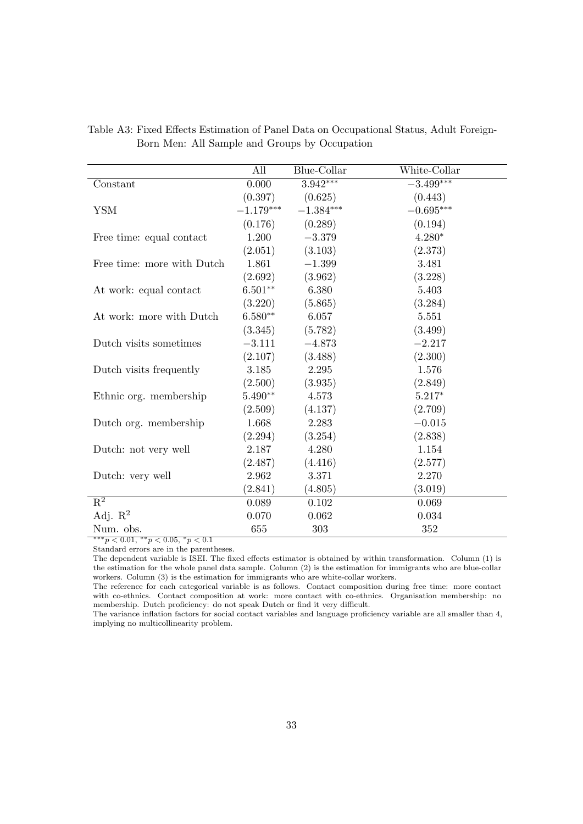|                            | All         | Blue-Collar | White-Collar |
|----------------------------|-------------|-------------|--------------|
| Constant                   | 0.000       | $3.942***$  | $-3.499***$  |
|                            | (0.397)     | (0.625)     | (0.443)      |
| <b>YSM</b>                 | $-1.179***$ | $-1.384***$ | $-0.695***$  |
|                            | (0.176)     | (0.289)     | (0.194)      |
| Free time: equal contact   | 1.200       | $-3.379$    | $4.280*$     |
|                            | (2.051)     | (3.103)     | (2.373)      |
| Free time: more with Dutch | 1.861       | $-1.399$    | 3.481        |
|                            | (2.692)     | (3.962)     | (3.228)      |
| At work: equal contact     | $6.501**$   | 6.380       | 5.403        |
|                            | (3.220)     | (5.865)     | (3.284)      |
| At work: more with Dutch   | $6.580**$   | 6.057       | 5.551        |
|                            | (3.345)     | (5.782)     | (3.499)      |
| Dutch visits sometimes     | $-3.111$    | $-4.873$    | $-2.217$     |
|                            | (2.107)     | (3.488)     | (2.300)      |
| Dutch visits frequently    | 3.185       | 2.295       | 1.576        |
|                            | (2.500)     | (3.935)     | (2.849)      |
| Ethnic org. membership     | $5.490**$   | 4.573       | $5.217*$     |
|                            | (2.509)     | (4.137)     | (2.709)      |
| Dutch org. membership      | 1.668       | 2.283       | $-0.015$     |
|                            | (2.294)     | (3.254)     | (2.838)      |
| Dutch: not very well       | 2.187       | 4.280       | 1.154        |
|                            | (2.487)     | (4.416)     | (2.577)      |
| Dutch: very well           | 2.962       | 3.371       | 2.270        |
|                            | (2.841)     | (4.805)     | (3.019)      |
| $\overline{\mathrm{R}^2}$  | 0.089       | 0.102       | 0.069        |
| Adj. $\mathbb{R}^2$        | 0.070       | 0.062       | 0.034        |
| Num. obs.                  | 655         | 303         | 352          |

Table A3: Fixed Effects Estimation of Panel Data on Occupational Status, Adult Foreign-Born Men: All Sample and Groups by Occupation

 $**p < 0.01, **p < 0.05, *p < 0.1$ 

Standard errors are in the parentheses.

The dependent variable is ISEI. The fixed effects estimator is obtained by within transformation. Column (1) is the estimation for the whole panel data sample. Column (2) is the estimation for immigrants who are blue-collar workers. Column (3) is the estimation for immigrants who are white-collar workers.

The reference for each categorical variable is as follows. Contact composition during free time: more contact with co-ethnics. Contact composition at work: more contact with co-ethnics. Organisation membership: no membership. Dutch proficiency: do not speak Dutch or find it very difficult.

The variance inflation factors for social contact variables and language proficiency variable are all smaller than 4, implying no multicollinearity problem.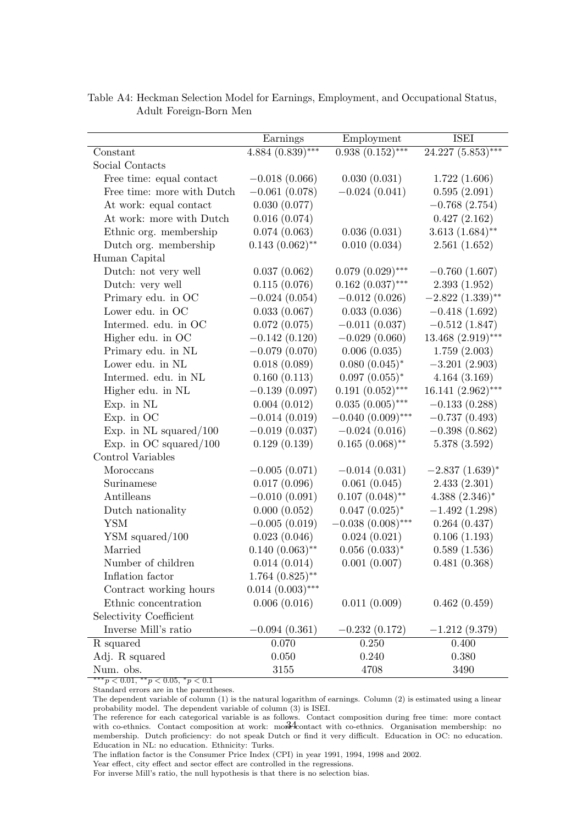|                            | Earnings                      | Employment          | <b>ISEI</b>          |
|----------------------------|-------------------------------|---------------------|----------------------|
| Constant                   | $4.884 \overline{(0.839)***}$ | $0.938(0.152)$ ***  | $24.227(5.853)***$   |
| Social Contacts            |                               |                     |                      |
| Free time: equal contact   | $-0.018(0.066)$               | 0.030(0.031)        | 1.722(1.606)         |
| Free time: more with Dutch | $-0.061(0.078)$               | $-0.024(0.041)$     | 0.595(2.091)         |
| At work: equal contact     | 0.030(0.077)                  |                     | $-0.768(2.754)$      |
| At work: more with Dutch   | 0.016(0.074)                  |                     | 0.427(2.162)         |
| Ethnic org. membership     | 0.074(0.063)                  | 0.036(0.031)        | $3.613(1.684)$ **    |
| Dutch org. membership      | $0.143(0.062)$ **             | 0.010(0.034)        | 2.561(1.652)         |
| Human Capital              |                               |                     |                      |
| Dutch: not very well       | 0.037(0.062)                  | $0.079(0.029)$ ***  | $-0.760(1.607)$      |
| Dutch: very well           | 0.115(0.076)                  | $0.162~(0.037)$ *** | 2.393(1.952)         |
| Primary edu. in OC         | $-0.024(0.054)$               | $-0.012(0.026)$     | $-2.822(1.339)$ **   |
| Lower edu. in OC           | 0.033(0.067)                  | 0.033(0.036)        | $-0.418(1.692)$      |
| Intermed. edu. in OC       | 0.072(0.075)                  | $-0.011(0.037)$     | $-0.512(1.847)$      |
| Higher edu. in OC          | $-0.142(0.120)$               | $-0.029(0.060)$     | $13.468(2.919)***$   |
| Primary edu. in NL         | $-0.079(0.070)$               | 0.006(0.035)        | 1.759(2.003)         |
| Lower edu. in NL           | 0.018(0.089)                  | $0.080~(0.045)^*$   | $-3.201(2.903)$      |
| Intermed. edu. in NL       | 0.160(0.113)                  | $0.097~(0.055)^*$   | 4.164(3.169)         |
| Higher edu. in NL          | $-0.139(0.097)$               | $0.191(0.052)$ ***  | $16.141 (2.962)$ *** |
| Exp. in NL                 | 0.004(0.012)                  | $0.035(0.005)$ ***  | $-0.133(0.288)$      |
| Exp. in OC                 | $-0.014(0.019)$               | $-0.040(0.009)$ *** | $-0.737(0.493)$      |
| Exp. in $NL$ squared/100   | $-0.019(0.037)$               | $-0.024(0.016)$     | $-0.398(0.862)$      |
| Exp. in OC squared/ $100$  | 0.129(0.139)                  | $0.165(0.068)$ **   | 5.378(3.592)         |
| Control Variables          |                               |                     |                      |
| Moroccans                  | $-0.005(0.071)$               | $-0.014(0.031)$     | $-2.837(1.639)^{*}$  |
| Surinamese                 | 0.017(0.096)                  | 0.061(0.045)        | 2.433(2.301)         |
| Antilleans                 | $-0.010(0.091)$               | $0.107~(0.048)$ **  | $4.388(2.346)^*$     |
| Dutch nationality          | 0.000(0.052)                  | $0.047~(0.025)^*$   | $-1.492(1.298)$      |
| <b>YSM</b>                 | $-0.005(0.019)$               | $-0.038(0.008)$ *** | 0.264(0.437)         |
| $YSM$ squared/100          | 0.023(0.046)                  | 0.024(0.021)        | 0.106(1.193)         |
| Married                    | $0.140~(0.063)$ **            | $0.056~(0.033)^*$   | 0.589(1.536)         |
| Number of children         | 0.014(0.014)                  | 0.001(0.007)        | 0.481(0.368)         |
| Inflation factor           | $1.764~(0.825)$ **            |                     |                      |
| Contract working hours     | $0.014~(0.003)$ ***           |                     |                      |
| Ethnic concentration       | 0.006(0.016)                  | 0.011(0.009)        | 0.462(0.459)         |
| Selectivity Coefficient    |                               |                     |                      |
| Inverse Mill's ratio       | $-0.094(0.361)$               | $-0.232(0.172)$     | $-1.212(9.379)$      |
| R squared                  | 0.070                         | 0.250               | 0.400                |
| Adj. R squared             | 0.050                         | 0.240               | 0.380                |
| Num. obs.                  | 3155                          | 4708                | 3490                 |

Table A4: Heckman Selection Model for Earnings, Employment, and Occupational Status, Adult Foreign-Born Men

 $*** p < 0.01, ** p < 0.05, * p < 0.1$ 

Standard errors are in the parentheses.

The dependent variable of column (1) is the natural logarithm of earnings. Column (2) is estimated using a linear probability model. The dependent variable of column (3) is ISEI.

The inflation factor is the Consumer Price Index (CPI) in year 1991, 1994, 1998 and 2002.

For inverse Mill's ratio, the null hypothesis is that there is no selection bias.

The reference for each categorical variable is as follows. Contact composition during free time: more contact with co-ethnics. Contact composition at work: more frontact with co-ethnics. Organisation membership: no membership. Dutch proficiency: do not speak Dutch or find it very difficult. Education in OC: no education. Education in NL: no education. Ethnicity: Turks.

Year effect, city effect and sector effect are controlled in the regressions.